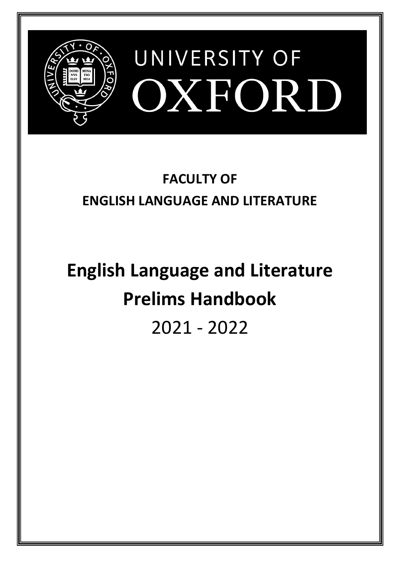

# **FACULTY OF ENGLISH LANGUAGE AND LITERATURE**

# **English Language and Literature Prelims Handbook**  2021 - 2022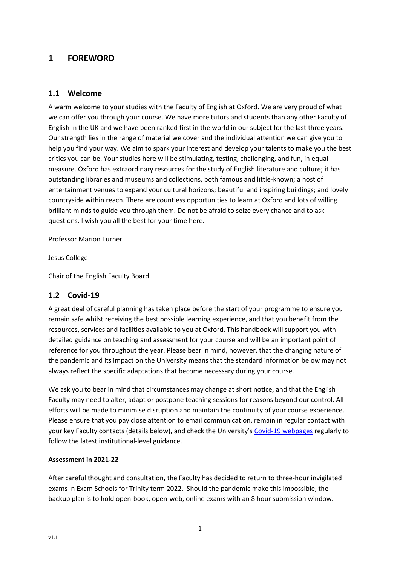# <span id="page-1-0"></span>**1 FOREWORD**

# <span id="page-1-1"></span>**1.1 Welcome**

A warm welcome to your studies with the Faculty of English at Oxford. We are very proud of what we can offer you through your course. We have more tutors and students than any other Faculty of English in the UK and we have been ranked first in the world in our subject for the last three years. Our strength lies in the range of material we cover and the individual attention we can give you to help you find your way. We aim to spark your interest and develop your talents to make you the best critics you can be. Your studies here will be stimulating, testing, challenging, and fun, in equal measure. Oxford has extraordinary resources for the study of English literature and culture; it has outstanding libraries and museums and collections, both famous and little-known; a host of entertainment venues to expand your cultural horizons; beautiful and inspiring buildings; and lovely countryside within reach. There are countless opportunities to learn at Oxford and lots of willing brilliant minds to guide you through them. Do not be afraid to seize every chance and to ask questions. I wish you all the best for your time here.

Professor Marion Turner

Jesus College

Chair of the English Faculty Board.

# <span id="page-1-2"></span>**1.2 Covid-19**

A great deal of careful planning has taken place before the start of your programme to ensure you remain safe whilst receiving the best possible learning experience, and that you benefit from the resources, services and facilities available to you at Oxford. This handbook will support you with detailed guidance on teaching and assessment for your course and will be an important point of reference for you throughout the year. Please bear in mind, however, that the changing nature of the pandemic and its impact on the University means that the standard information below may not always reflect the specific adaptations that become necessary during your course.

We ask you to bear in mind that circumstances may change at short notice, and that the English Faculty may need to alter, adapt or postpone teaching sessions for reasons beyond our control. All efforts will be made to minimise disruption and maintain the continuity of your course experience. Please ensure that you pay close attention to email communication, remain in regular contact with your key Faculty contacts (details below), and check the University's [Covid-19 webpages](https://www.ox.ac.uk/coronavirus/students) regularly to follow the latest institutional-level guidance.

#### **Assessment in 2021-22**

After careful thought and consultation, the Faculty has decided to return to three-hour invigilated exams in Exam Schools for Trinity term 2022. Should the pandemic make this impossible, the backup plan is to hold open-book, open-web, online exams with an 8 hour submission window.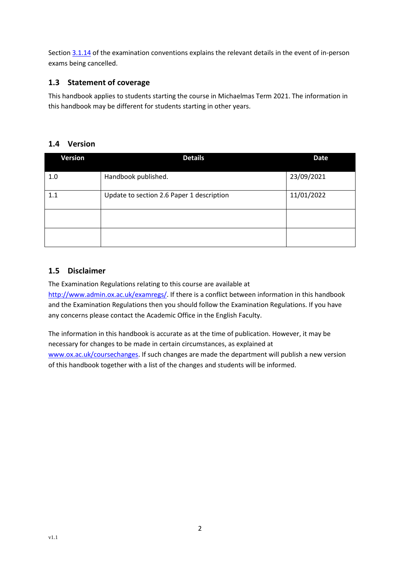Sectio[n 3.1.14](#page-26-0) of the examination conventions explains the relevant details in the event of in-person exams being cancelled.

# <span id="page-2-0"></span>**1.3 Statement of coverage**

This handbook applies to students starting the course in Michaelmas Term 2021. The information in this handbook may be different for students starting in other years.

# <span id="page-2-1"></span>**1.4 Version**

| <b>Version</b> | <b>Details</b>                            | <b>Date</b> |  |
|----------------|-------------------------------------------|-------------|--|
| 1.0            | Handbook published.                       | 23/09/2021  |  |
| 1.1            | Update to section 2.6 Paper 1 description | 11/01/2022  |  |
|                |                                           |             |  |
|                |                                           |             |  |

# <span id="page-2-2"></span>**1.5 Disclaimer**

The Examination Regulations relating to this course are available at [http://www.admin.ox.ac.uk/examregs/.](http://www.admin.ox.ac.uk/examregs/) If there is a conflict between information in this handbook and the Examination Regulations then you should follow the Examination Regulations. If you have any concerns please contact the Academic Office in the English Faculty.

The information in this handbook is accurate as at the time of publication. However, it may be necessary for changes to be made in certain circumstances, as explained at [www.ox.ac.uk/coursechanges.](http://www.ox.ac.uk/coursechanges) If such changes are made the department will publish a new version of this handbook together with a list of the changes and students will be informed.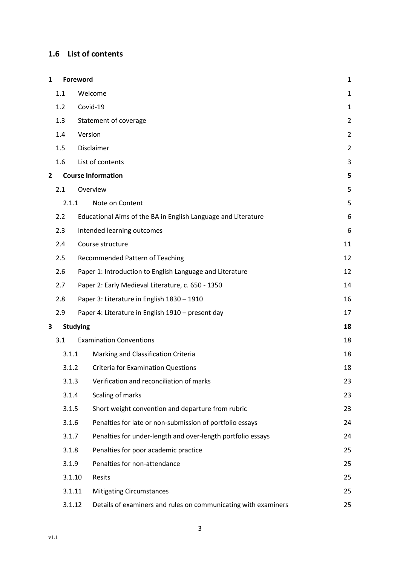# <span id="page-3-0"></span>**1.6 List of contents**

| 1 |         | Foreword                                                       | $\mathbf 1$    |
|---|---------|----------------------------------------------------------------|----------------|
|   | 1.1     | Welcome                                                        |                |
|   | 1.2     | Covid-19                                                       |                |
|   | 1.3     | Statement of coverage                                          | $\overline{2}$ |
|   | 1.4     | Version                                                        | $\overline{2}$ |
|   | 1.5     | Disclaimer                                                     | $\overline{2}$ |
|   | $1.6\,$ | List of contents                                               | 3              |
| 2 |         | <b>Course Information</b>                                      | 5              |
|   | 2.1     | Overview                                                       | 5              |
|   | 2.1.1   | Note on Content                                                | 5              |
|   | 2.2     | Educational Aims of the BA in English Language and Literature  | 6              |
|   | 2.3     | Intended learning outcomes                                     | 6              |
|   | 2.4     | Course structure                                               | 11             |
|   | 2.5     | Recommended Pattern of Teaching                                | 12             |
|   | 2.6     | Paper 1: Introduction to English Language and Literature       | 12             |
|   | 2.7     | Paper 2: Early Medieval Literature, c. 650 - 1350              | 14             |
|   | 2.8     | Paper 3: Literature in English 1830 - 1910                     | 16             |
|   | 2.9     | Paper 4: Literature in English 1910 - present day              | 17             |
| 3 |         | <b>Studying</b>                                                | 18             |
|   | 3.1     | <b>Examination Conventions</b>                                 | 18             |
|   | 3.1.1   | Marking and Classification Criteria                            | 18             |
|   | 3.1.2   | <b>Criteria for Examination Questions</b>                      | 18             |
|   | 3.1.3   | Verification and reconciliation of marks                       | 23             |
|   | 3.1.4   | Scaling of marks                                               | 23             |
|   | 3.1.5   | Short weight convention and departure from rubric              | 23             |
|   | 3.1.6   | Penalties for late or non-submission of portfolio essays       | 24             |
|   | 3.1.7   | Penalties for under-length and over-length portfolio essays    | 24             |
|   | 3.1.8   | Penalties for poor academic practice                           | 25             |
|   | 3.1.9   | Penalties for non-attendance                                   | 25             |
|   | 3.1.10  | Resits                                                         | 25             |
|   | 3.1.11  | <b>Mitigating Circumstances</b>                                | 25             |
|   | 3.1.12  | Details of examiners and rules on communicating with examiners | 25             |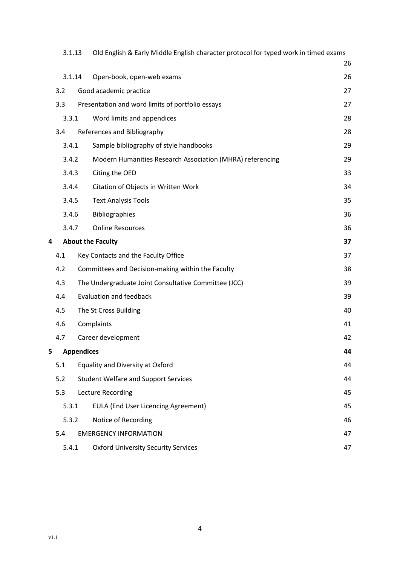|                                                    | 3.1.13 | Old English & Early Middle English character protocol for typed work in timed exams |    |
|----------------------------------------------------|--------|-------------------------------------------------------------------------------------|----|
|                                                    |        |                                                                                     | 26 |
|                                                    | 3.1.14 | Open-book, open-web exams                                                           | 26 |
|                                                    | 3.2    | Good academic practice                                                              | 27 |
|                                                    | 3.3    | Presentation and word limits of portfolio essays                                    | 27 |
|                                                    | 3.3.1  | Word limits and appendices                                                          | 28 |
|                                                    | 3.4    | References and Bibliography                                                         | 28 |
|                                                    | 3.4.1  | Sample bibliography of style handbooks                                              | 29 |
|                                                    | 3.4.2  | Modern Humanities Research Association (MHRA) referencing                           | 29 |
|                                                    | 3.4.3  | Citing the OED                                                                      | 33 |
|                                                    | 3.4.4  | Citation of Objects in Written Work                                                 | 34 |
|                                                    | 3.4.5  | <b>Text Analysis Tools</b>                                                          | 35 |
|                                                    | 3.4.6  | <b>Bibliographies</b>                                                               | 36 |
|                                                    | 3.4.7  | <b>Online Resources</b>                                                             | 36 |
| 4                                                  |        | <b>About the Faculty</b>                                                            | 37 |
|                                                    | 4.1    | Key Contacts and the Faculty Office                                                 | 37 |
|                                                    | 4.2    | Committees and Decision-making within the Faculty                                   | 38 |
|                                                    | 4.3    | The Undergraduate Joint Consultative Committee (JCC)                                | 39 |
|                                                    | 4.4    | <b>Evaluation and feedback</b>                                                      | 39 |
|                                                    | 4.5    | The St Cross Building                                                               | 40 |
|                                                    | 4.6    | Complaints                                                                          | 41 |
|                                                    | 4.7    | Career development                                                                  | 42 |
| 5                                                  |        | <b>Appendices</b>                                                                   | 44 |
|                                                    | 5.1    | <b>Equality and Diversity at Oxford</b>                                             | 44 |
| <b>Student Welfare and Support Services</b><br>5.2 |        |                                                                                     | 44 |
| 5.3                                                |        | Lecture Recording                                                                   |    |
|                                                    | 5.3.1  | <b>EULA (End User Licencing Agreement)</b>                                          | 45 |
|                                                    | 5.3.2  | Notice of Recording                                                                 | 46 |
|                                                    | 5.4    | <b>EMERGENCY INFORMATION</b>                                                        | 47 |
|                                                    | 5.4.1  | <b>Oxford University Security Services</b>                                          | 47 |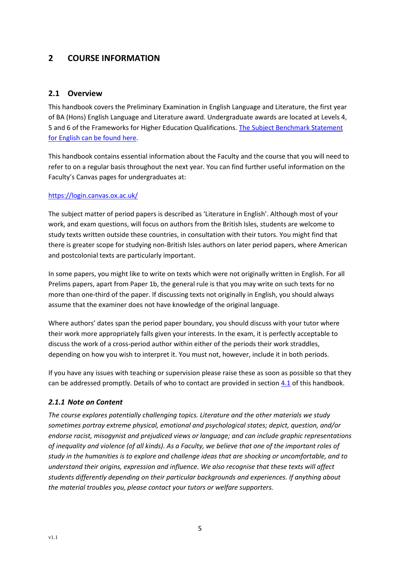# <span id="page-5-0"></span>**2 COURSE INFORMATION**

# <span id="page-5-1"></span>**2.1 Overview**

This handbook covers the Preliminary Examination in English Language and Literature, the first year of BA (Hons) English Language and Literature award. Undergraduate awards are located at Levels 4, 5 and 6 of the Frameworks for Higher Education Qualifications[. The Subject Benchmark Statement](https://www.qaa.ac.uk/en/quality-code/subject-benchmark-statements)  [for English can be found](https://www.qaa.ac.uk/en/quality-code/subject-benchmark-statements) here.

This handbook contains essential information about the Faculty and the course that you will need to refer to on a regular basis throughout the next year. You can find further useful information on the Faculty's Canvas pages for undergraduates at:

#### <https://login.canvas.ox.ac.uk/>

The subject matter of period papers is described as 'Literature in English'. Although most of your work, and exam questions, will focus on authors from the British Isles, students are welcome to study texts written outside these countries, in consultation with their tutors. You might find that there is greater scope for studying non-British Isles authors on later period papers, where American and postcolonial texts are particularly important.

In some papers, you might like to write on texts which were not originally written in English. For all Prelims papers, apart from Paper 1b, the general rule is that you may write on such texts for no more than one-third of the paper. If discussing texts not originally in English, you should always assume that the examiner does not have knowledge of the original language.

Where authors' dates span the period paper boundary, you should discuss with your tutor where their work more appropriately falls given your interests. In the exam, it is perfectly acceptable to discuss the work of a cross-period author within either of the periods their work straddles, depending on how you wish to interpret it. You must not, however, include it in both periods.

If you have any issues with teaching or supervision please raise these as soon as possible so that they can be addressed promptly. Details of who to contact are provided in sectio[n 4.1](#page-37-1) of this handbook.

# <span id="page-5-2"></span>*2.1.1 Note on Content*

*The course explores potentially challenging topics. Literature and the other materials we study sometimes portray extreme physical, emotional and psychological states; depict, question, and/or endorse racist, misogynist and prejudiced views or language; and can include graphic representations of inequality and violence (of all kinds). As a Faculty, we believe that one of the important roles of study in the humanities is to explore and challenge ideas that are shocking or uncomfortable, and to understand their origins, expression and influence. We also recognise that these texts will affect students differently depending on their particular backgrounds and experiences. If anything about the material troubles you, please contact your tutors or welfare supporters.*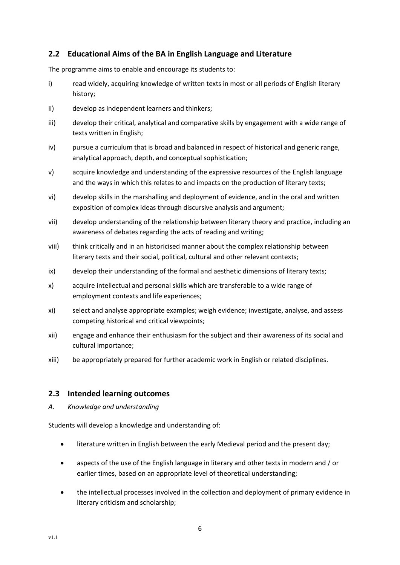# <span id="page-6-0"></span>**2.2 Educational Aims of the BA in English Language and Literature**

The programme aims to enable and encourage its students to:

- i) read widely, acquiring knowledge of written texts in most or all periods of English literary history;
- ii) develop as independent learners and thinkers;
- iii) develop their critical, analytical and comparative skills by engagement with a wide range of texts written in English;
- iv) pursue a curriculum that is broad and balanced in respect of historical and generic range, analytical approach, depth, and conceptual sophistication;
- v) acquire knowledge and understanding of the expressive resources of the English language and the ways in which this relates to and impacts on the production of literary texts;
- vi) develop skills in the marshalling and deployment of evidence, and in the oral and written exposition of complex ideas through discursive analysis and argument;
- vii) develop understanding of the relationship between literary theory and practice, including an awareness of debates regarding the acts of reading and writing;
- viii) think critically and in an historicised manner about the complex relationship between literary texts and their social, political, cultural and other relevant contexts;
- ix) develop their understanding of the formal and aesthetic dimensions of literary texts;
- x) acquire intellectual and personal skills which are transferable to a wide range of employment contexts and life experiences;
- xi) select and analyse appropriate examples; weigh evidence; investigate, analyse, and assess competing historical and critical viewpoints;
- xii) engage and enhance their enthusiasm for the subject and their awareness of its social and cultural importance;
- xiii) be appropriately prepared for further academic work in English or related disciplines.

# <span id="page-6-1"></span>**2.3 Intended learning outcomes**

*A. Knowledge and understanding*

Students will develop a knowledge and understanding of:

- literature written in English between the early Medieval period and the present day;
- aspects of the use of the English language in literary and other texts in modern and / or earlier times, based on an appropriate level of theoretical understanding;
- the intellectual processes involved in the collection and deployment of primary evidence in literary criticism and scholarship;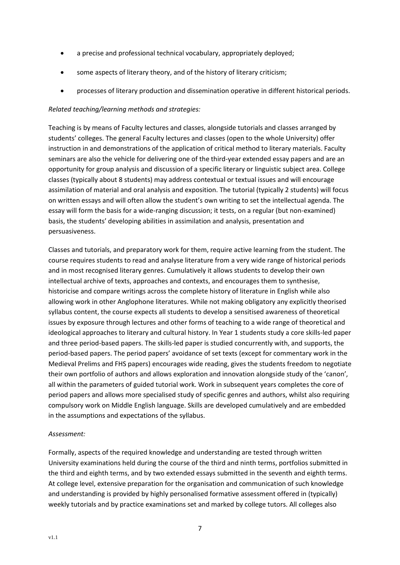- a precise and professional technical vocabulary, appropriately deployed;
- some aspects of literary theory, and of the history of literary criticism;
- processes of literary production and dissemination operative in different historical periods.

#### *Related teaching/learning methods and strategies:*

Teaching is by means of Faculty lectures and classes, alongside tutorials and classes arranged by students' colleges. The general Faculty lectures and classes (open to the whole University) offer instruction in and demonstrations of the application of critical method to literary materials. Faculty seminars are also the vehicle for delivering one of the third-year extended essay papers and are an opportunity for group analysis and discussion of a specific literary or linguistic subject area. College classes (typically about 8 students) may address contextual or textual issues and will encourage assimilation of material and oral analysis and exposition. The tutorial (typically 2 students) will focus on written essays and will often allow the student's own writing to set the intellectual agenda. The essay will form the basis for a wide-ranging discussion; it tests, on a regular (but non-examined) basis, the students' developing abilities in assimilation and analysis, presentation and persuasiveness.

Classes and tutorials, and preparatory work for them, require active learning from the student. The course requires students to read and analyse literature from a very wide range of historical periods and in most recognised literary genres. Cumulatively it allows students to develop their own intellectual archive of texts, approaches and contexts, and encourages them to synthesise, historicise and compare writings across the complete history of literature in English while also allowing work in other Anglophone literatures. While not making obligatory any explicitly theorised syllabus content, the course expects all students to develop a sensitised awareness of theoretical issues by exposure through lectures and other forms of teaching to a wide range of theoretical and ideological approaches to literary and cultural history. In Year 1 students study a core skills-led paper and three period-based papers. The skills-led paper is studied concurrently with, and supports, the period-based papers. The period papers' avoidance of set texts (except for commentary work in the Medieval Prelims and FHS papers) encourages wide reading, gives the students freedom to negotiate their own portfolio of authors and allows exploration and innovation alongside study of the 'canon', all within the parameters of guided tutorial work. Work in subsequent years completes the core of period papers and allows more specialised study of specific genres and authors, whilst also requiring compulsory work on Middle English language. Skills are developed cumulatively and are embedded in the assumptions and expectations of the syllabus.

#### *Assessment:*

Formally, aspects of the required knowledge and understanding are tested through written University examinations held during the course of the third and ninth terms, portfolios submitted in the third and eighth terms, and by two extended essays submitted in the seventh and eighth terms. At college level, extensive preparation for the organisation and communication of such knowledge and understanding is provided by highly personalised formative assessment offered in (typically) weekly tutorials and by practice examinations set and marked by college tutors. All colleges also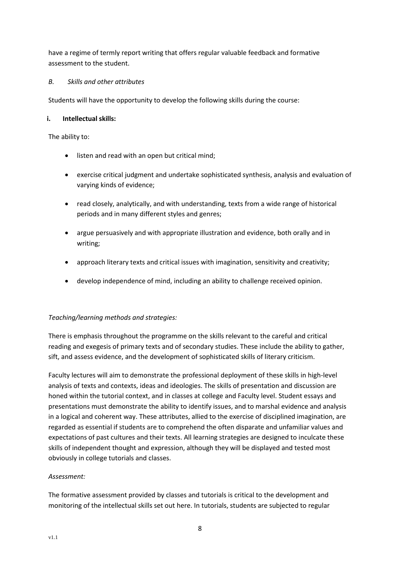have a regime of termly report writing that offers regular valuable feedback and formative assessment to the student.

#### *B. Skills and other attributes*

Students will have the opportunity to develop the following skills during the course:

#### **i. Intellectual skills:**

The ability to:

- listen and read with an open but critical mind;
- exercise critical judgment and undertake sophisticated synthesis, analysis and evaluation of varying kinds of evidence;
- read closely, analytically, and with understanding, texts from a wide range of historical periods and in many different styles and genres;
- argue persuasively and with appropriate illustration and evidence, both orally and in writing;
- approach literary texts and critical issues with imagination, sensitivity and creativity;
- develop independence of mind, including an ability to challenge received opinion.

# *Teaching/learning methods and strategies:*

There is emphasis throughout the programme on the skills relevant to the careful and critical reading and exegesis of primary texts and of secondary studies. These include the ability to gather, sift, and assess evidence, and the development of sophisticated skills of literary criticism.

Faculty lectures will aim to demonstrate the professional deployment of these skills in high-level analysis of texts and contexts, ideas and ideologies. The skills of presentation and discussion are honed within the tutorial context, and in classes at college and Faculty level. Student essays and presentations must demonstrate the ability to identify issues, and to marshal evidence and analysis in a logical and coherent way. These attributes, allied to the exercise of disciplined imagination, are regarded as essential if students are to comprehend the often disparate and unfamiliar values and expectations of past cultures and their texts. All learning strategies are designed to inculcate these skills of independent thought and expression, although they will be displayed and tested most obviously in college tutorials and classes.

# *Assessment:*

The formative assessment provided by classes and tutorials is critical to the development and monitoring of the intellectual skills set out here. In tutorials, students are subjected to regular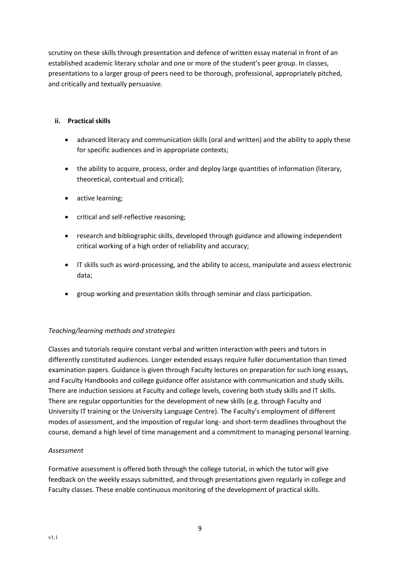scrutiny on these skills through presentation and defence of written essay material in front of an established academic literary scholar and one or more of the student's peer group. In classes, presentations to a larger group of peers need to be thorough, professional, appropriately pitched, and critically and textually persuasive.

#### **ii. Practical skills**

- advanced literacy and communication skills (oral and written) and the ability to apply these for specific audiences and in appropriate contexts;
- the ability to acquire, process, order and deploy large quantities of information (literary, theoretical, contextual and critical);
- active learning;
- critical and self-reflective reasoning;
- research and bibliographic skills, developed through guidance and allowing independent critical working of a high order of reliability and accuracy;
- IT skills such as word-processing, and the ability to access, manipulate and assess electronic data;
- group working and presentation skills through seminar and class participation.

# *Teaching/learning methods and strategies*

Classes and tutorials require constant verbal and written interaction with peers and tutors in differently constituted audiences. Longer extended essays require fuller documentation than timed examination papers. Guidance is given through Faculty lectures on preparation for such long essays, and Faculty Handbooks and college guidance offer assistance with communication and study skills. There are induction sessions at Faculty and college levels, covering both study skills and IT skills. There are regular opportunities for the development of new skills (e.g. through Faculty and University IT training or the University Language Centre). The Faculty's employment of different modes of assessment, and the imposition of regular long- and short-term deadlines throughout the course, demand a high level of time management and a commitment to managing personal learning.

#### *Assessment*

Formative assessment is offered both through the college tutorial, in which the tutor will give feedback on the weekly essays submitted, and through presentations given regularly in college and Faculty classes. These enable continuous monitoring of the development of practical skills.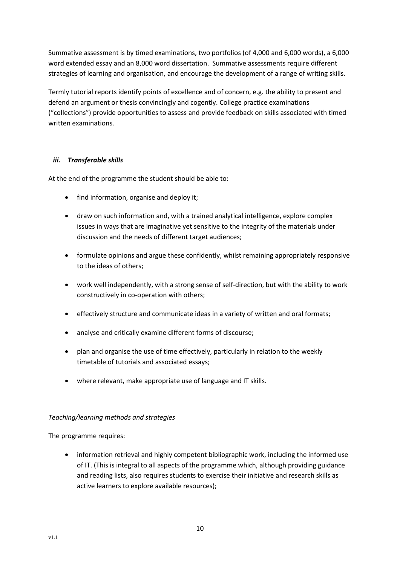Summative assessment is by timed examinations, two portfolios (of 4,000 and 6,000 words), a 6,000 word extended essay and an 8,000 word dissertation. Summative assessments require different strategies of learning and organisation, and encourage the development of a range of writing skills*.* 

Termly tutorial reports identify points of excellence and of concern, e.g. the ability to present and defend an argument or thesis convincingly and cogently. College practice examinations ("collections") provide opportunities to assess and provide feedback on skills associated with timed written examinations.

#### *iii. Transferable skills*

At the end of the programme the student should be able to:

- find information, organise and deploy it;
- draw on such information and, with a trained analytical intelligence, explore complex issues in ways that are imaginative yet sensitive to the integrity of the materials under discussion and the needs of different target audiences;
- formulate opinions and argue these confidently, whilst remaining appropriately responsive to the ideas of others;
- work well independently, with a strong sense of self-direction, but with the ability to work constructively in co-operation with others;
- effectively structure and communicate ideas in a variety of written and oral formats;
- analyse and critically examine different forms of discourse;
- plan and organise the use of time effectively, particularly in relation to the weekly timetable of tutorials and associated essays;
- where relevant, make appropriate use of language and IT skills.

#### *Teaching/learning methods and strategies*

The programme requires:

• information retrieval and highly competent bibliographic work, including the informed use of IT. (This is integral to all aspects of the programme which, although providing guidance and reading lists, also requires students to exercise their initiative and research skills as active learners to explore available resources);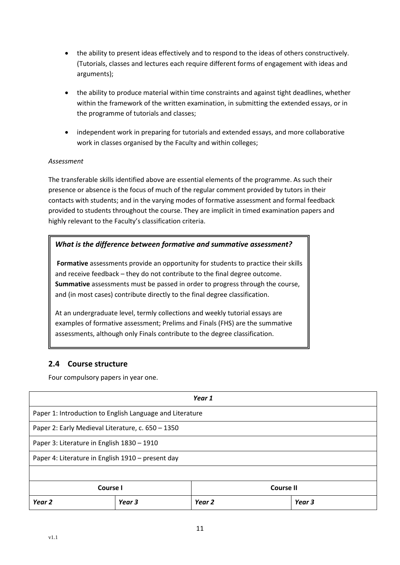- the ability to present ideas effectively and to respond to the ideas of others constructively. (Tutorials, classes and lectures each require different forms of engagement with ideas and arguments);
- the ability to produce material within time constraints and against tight deadlines, whether within the framework of the written examination, in submitting the extended essays, or in the programme of tutorials and classes;
- independent work in preparing for tutorials and extended essays, and more collaborative work in classes organised by the Faculty and within colleges;

#### *Assessment*

The transferable skills identified above are essential elements of the programme. As such their presence or absence is the focus of much of the regular comment provided by tutors in their contacts with students; and in the varying modes of formative assessment and formal feedback provided to students throughout the course. They are implicit in timed examination papers and highly relevant to the Faculty's classification criteria.

# *What is the difference between formative and summative assessment?*

**Formative** assessments provide an opportunity for students to practice their skills and receive feedback – they do not contribute to the final degree outcome. **Summative** assessments must be passed in order to progress through the course, and (in most cases) contribute directly to the final degree classification.

At an undergraduate level, termly collections and weekly tutorial essays are examples of formative assessment; Prelims and Finals (FHS) are the summative assessments, although only Finals contribute to the degree classification.

# <span id="page-11-0"></span>**2.4 Course structure**

Four compulsory papers in year one.

| Year 1                                            |                                                          |        |        |  |
|---------------------------------------------------|----------------------------------------------------------|--------|--------|--|
|                                                   | Paper 1: Introduction to English Language and Literature |        |        |  |
|                                                   | Paper 2: Early Medieval Literature, c. 650 - 1350        |        |        |  |
|                                                   | Paper 3: Literature in English 1830 - 1910               |        |        |  |
| Paper 4: Literature in English 1910 - present day |                                                          |        |        |  |
|                                                   |                                                          |        |        |  |
| Course I<br>Course II                             |                                                          |        |        |  |
| Year <sub>2</sub>                                 | Year 3                                                   | Year 2 | Year 3 |  |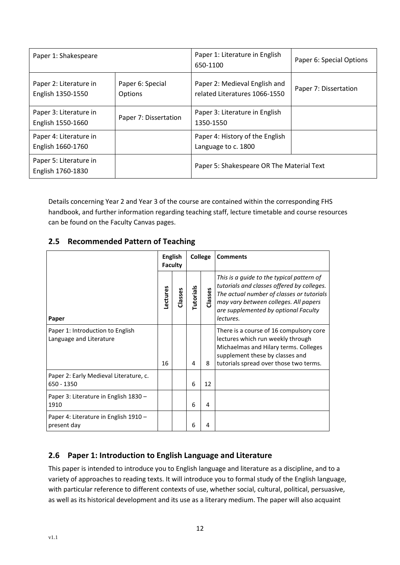| Paper 1: Shakespeare                        |                                    | Paper 1: Literature in English<br>650-1100                     | Paper 6: Special Options |
|---------------------------------------------|------------------------------------|----------------------------------------------------------------|--------------------------|
| Paper 2: Literature in<br>English 1350-1550 | Paper 6: Special<br><b>Options</b> | Paper 2: Medieval English and<br>related Literatures 1066-1550 | Paper 7: Dissertation    |
| Paper 3: Literature in<br>English 1550-1660 | Paper 7: Dissertation              | Paper 3: Literature in English<br>1350-1550                    |                          |
| Paper 4: Literature in<br>English 1660-1760 |                                    | Paper 4: History of the English<br>Language to c. 1800         |                          |
| Paper 5: Literature in<br>English 1760-1830 |                                    | Paper 5: Shakespeare OR The Material Text                      |                          |

Details concerning Year 2 and Year 3 of the course are contained within the corresponding FHS handbook, and further information regarding teaching staff, lecture timetable and course resources can be found on the Faculty Canvas pages.

# <span id="page-12-0"></span>**2.5 Recommended Pattern of Teaching**

|                                                             | <b>English</b><br>Faculty |         | College          |         | <b>Comments</b>                                                                                                                                                                                                                    |
|-------------------------------------------------------------|---------------------------|---------|------------------|---------|------------------------------------------------------------------------------------------------------------------------------------------------------------------------------------------------------------------------------------|
| Paper                                                       | Lectures                  | Classes | <b>Tutorials</b> | Classes | This is a quide to the typical pattern of<br>tutorials and classes offered by colleges.<br>The actual number of classes or tutorials<br>may vary between colleges. All papers<br>are supplemented by optional Faculty<br>lectures. |
| Paper 1: Introduction to English<br>Language and Literature | 16                        |         | 4                | 8       | There is a course of 16 compulsory core<br>lectures which run weekly through<br>Michaelmas and Hilary terms. Colleges<br>supplement these by classes and<br>tutorials spread over those two terms.                                 |
| Paper 2: Early Medieval Literature, c.<br>650 - 1350        |                           |         | 6                | 12      |                                                                                                                                                                                                                                    |
| Paper 3: Literature in English 1830 -<br>1910               |                           |         | 6                | 4       |                                                                                                                                                                                                                                    |
| Paper 4: Literature in English 1910 -<br>present day        |                           |         | 6                | 4       |                                                                                                                                                                                                                                    |

# <span id="page-12-1"></span>**2.6 Paper 1: Introduction to English Language and Literature**

This paper is intended to introduce you to English language and literature as a discipline, and to a variety of approaches to reading texts. It will introduce you to formal study of the English language, with particular reference to different contexts of use, whether social, cultural, political, persuasive, as well as its historical development and its use as a literary medium. The paper will also acquaint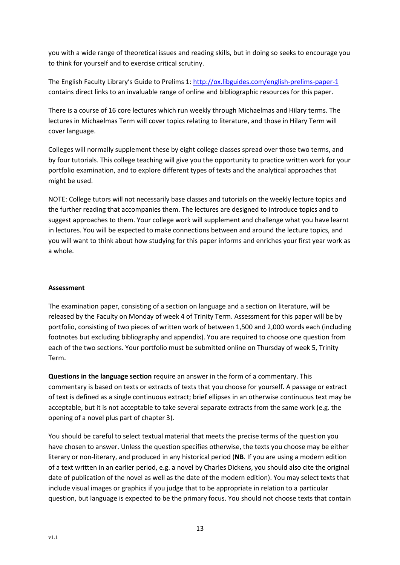you with a wide range of theoretical issues and reading skills, but in doing so seeks to encourage you to think for yourself and to exercise critical scrutiny.

The English Faculty Library's Guide to Prelims 1: <http://ox.libguides.com/english-prelims-paper-1> contains direct links to an invaluable range of online and bibliographic resources for this paper.

There is a course of 16 core lectures which run weekly through Michaelmas and Hilary terms. The lectures in Michaelmas Term will cover topics relating to literature, and those in Hilary Term will cover language.

Colleges will normally supplement these by eight college classes spread over those two terms, and by four tutorials. This college teaching will give you the opportunity to practice written work for your portfolio examination, and to explore different types of texts and the analytical approaches that might be used.

NOTE: College tutors will not necessarily base classes and tutorials on the weekly lecture topics and the further reading that accompanies them. The lectures are designed to introduce topics and to suggest approaches to them. Your college work will supplement and challenge what you have learnt in lectures. You will be expected to make connections between and around the lecture topics, and you will want to think about how studying for this paper informs and enriches your first year work as a whole.

#### **Assessment**

The examination paper, consisting of a section on language and a section on literature, will be released by the Faculty on Monday of week 4 of Trinity Term. Assessment for this paper will be by portfolio, consisting of two pieces of written work of between 1,500 and 2,000 words each (including footnotes but excluding bibliography and appendix). You are required to choose one question from each of the two sections. Your portfolio must be submitted online on Thursday of week 5, Trinity Term.

**Questions in the language section** require an answer in the form of a commentary. This commentary is based on texts or extracts of texts that you choose for yourself. A passage or extract of text is defined as a single continuous extract; brief ellipses in an otherwise continuous text may be acceptable, but it is not acceptable to take several separate extracts from the same work (e.g. the opening of a novel plus part of chapter 3).

You should be careful to select textual material that meets the precise terms of the question you have chosen to answer. Unless the question specifies otherwise, the texts you choose may be either literary or non-literary, and produced in any historical period (**NB**. If you are using a modern edition of a text written in an earlier period, e.g. a novel by Charles Dickens, you should also cite the original date of publication of the novel as well as the date of the modern edition). You may select texts that include visual images or graphics if you judge that to be appropriate in relation to a particular question, but language is expected to be the primary focus. You should not choose texts that contain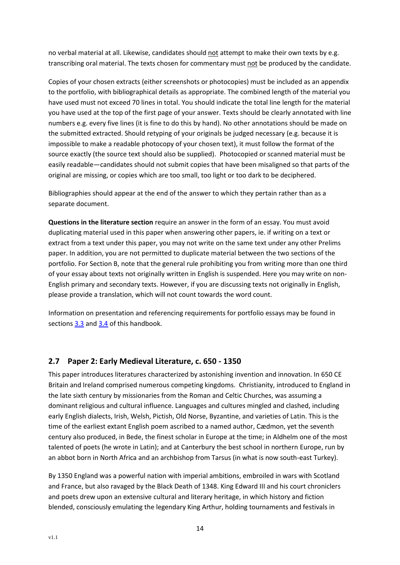no verbal material at all. Likewise, candidates should not attempt to make their own texts by e.g. transcribing oral material. The texts chosen for commentary must not be produced by the candidate.

Copies of your chosen extracts (either screenshots or photocopies) must be included as an appendix to the portfolio, with bibliographical details as appropriate. The combined length of the material you have used must not exceed 70 lines in total. You should indicate the total line length for the material you have used at the top of the first page of your answer. Texts should be clearly annotated with line numbers e.g. every five lines (it is fine to do this by hand). No other annotations should be made on the submitted extracted. Should retyping of your originals be judged necessary (e.g. because it is impossible to make a readable photocopy of your chosen text), it must follow the format of the source exactly (the source text should also be supplied). Photocopied or scanned material must be easily readable—candidates should not submit copies that have been misaligned so that parts of the original are missing, or copies which are too small, too light or too dark to be deciphered.

Bibliographies should appear at the end of the answer to which they pertain rather than as a separate document.

**Questions in the literature section** require an answer in the form of an essay. You must avoid duplicating material used in this paper when answering other papers, ie. if writing on a text or extract from a text under this paper, you may not write on the same text under any other Prelims paper. In addition, you are not permitted to duplicate material between the two sections of the portfolio. For Section B, note that the general rule prohibiting you from writing more than one third of your essay about texts not originally written in English is suspended. Here you may write on non-English primary and secondary texts. However, if you are discussing texts not originally in English, please provide a translation, which will not count towards the word count.

Information on presentation and referencing requirements for portfolio essays may be found in sections [3.3](#page-27-1) an[d 3.4](#page-28-1) of this handbook.

# <span id="page-14-0"></span>**2.7 Paper 2: Early Medieval Literature, c. 650 - 1350**

This paper introduces literatures characterized by astonishing invention and innovation. In 650 CE Britain and Ireland comprised numerous competing kingdoms. Christianity, introduced to England in the late sixth century by missionaries from the Roman and Celtic Churches, was assuming a dominant religious and cultural influence. Languages and cultures mingled and clashed, including early English dialects, Irish, Welsh, Pictish, Old Norse, Byzantine, and varieties of Latin. This is the time of the earliest extant English poem ascribed to a named author, Cædmon, yet the seventh century also produced, in Bede, the finest scholar in Europe at the time; in Aldhelm one of the most talented of poets (he wrote in Latin); and at Canterbury the best school in northern Europe, run by an abbot born in North Africa and an archbishop from Tarsus (in what is now south-east Turkey).

By 1350 England was a powerful nation with imperial ambitions, embroiled in wars with Scotland and France, but also ravaged by the Black Death of 1348. King Edward III and his court chroniclers and poets drew upon an extensive cultural and literary heritage, in which history and fiction blended, consciously emulating the legendary King Arthur, holding tournaments and festivals in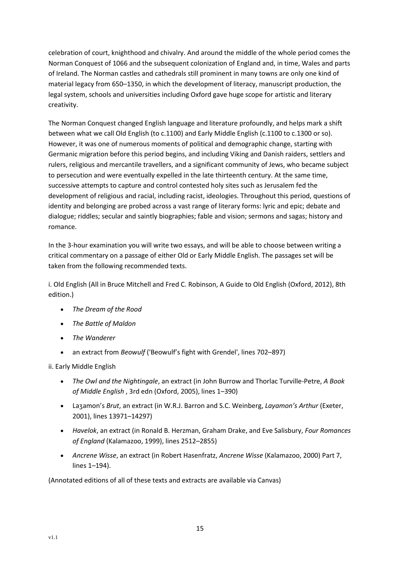celebration of court, knighthood and chivalry. And around the middle of the whole period comes the Norman Conquest of 1066 and the subsequent colonization of England and, in time, Wales and parts of Ireland. The Norman castles and cathedrals still prominent in many towns are only one kind of material legacy from 650–1350, in which the development of literacy, manuscript production, the legal system, schools and universities including Oxford gave huge scope for artistic and literary creativity.

The Norman Conquest changed English language and literature profoundly, and helps mark a shift between what we call Old English (to c.1100) and Early Middle English (c.1100 to c.1300 or so). However, it was one of numerous moments of political and demographic change, starting with Germanic migration before this period begins, and including Viking and Danish raiders, settlers and rulers, religious and mercantile travellers, and a significant community of Jews, who became subject to persecution and were eventually expelled in the late thirteenth century. At the same time, successive attempts to capture and control contested holy sites such as Jerusalem fed the development of religious and racial, including racist, ideologies. Throughout this period, questions of identity and belonging are probed across a vast range of literary forms: lyric and epic; debate and dialogue; riddles; secular and saintly biographies; fable and vision; sermons and sagas; history and romance.

In the 3-hour examination you will write two essays, and will be able to choose between writing a critical commentary on a passage of either Old or Early Middle English. The passages set will be taken from the following recommended texts.

i. Old English (All in Bruce Mitchell and Fred C. Robinson, A Guide to Old English (Oxford, 2012), 8th edition.)

- *The Dream of the Rood*
- *The Battle of Maldon*
- *The Wanderer*
- an extract from *Beowulf* ('Beowulf's fight with Grendel', lines 702–897)

ii. Early Middle English

- *The Owl and the Nightingale*, an extract (in John Burrow and Thorlac Turville-Petre, *A Book of Middle English* , 3rd edn (Oxford, 2005), lines 1–390)
- Laȝamon's *Brut*, an extract (in W.R.J. Barron and S.C. Weinberg, *Layamon's Arthur* (Exeter, 2001), lines 13971–14297)
- *Havelok*, an extract (in Ronald B. Herzman, Graham Drake, and Eve Salisbury, *Four Romances of England* (Kalamazoo, 1999), lines 2512–2855)
- *Ancrene Wisse*, an extract (in Robert Hasenfratz, *Ancrene Wisse* (Kalamazoo, 2000) Part 7, lines 1–194).

(Annotated editions of all of these texts and extracts are available via Canvas)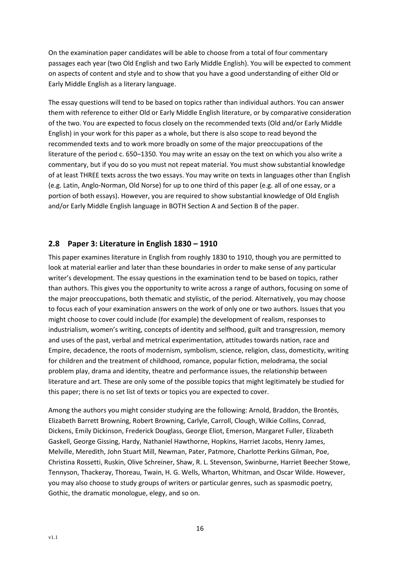On the examination paper candidates will be able to choose from a total of four commentary passages each year (two Old English and two Early Middle English). You will be expected to comment on aspects of content and style and to show that you have a good understanding of either Old or Early Middle English as a literary language.

The essay questions will tend to be based on topics rather than individual authors. You can answer them with reference to either Old or Early Middle English literature, or by comparative consideration of the two. You are expected to focus closely on the recommended texts (Old and/or Early Middle English) in your work for this paper as a whole, but there is also scope to read beyond the recommended texts and to work more broadly on some of the major preoccupations of the literature of the period c. 650–1350. You may write an essay on the text on which you also write a commentary, but if you do so you must not repeat material. You must show substantial knowledge of at least THREE texts across the two essays. You may write on texts in languages other than English (e.g. Latin, Anglo-Norman, Old Norse) for up to one third of this paper (e.g. all of one essay, or a portion of both essays). However, you are required to show substantial knowledge of Old English and/or Early Middle English language in BOTH Section A and Section B of the paper.

# <span id="page-16-0"></span>**2.8 Paper 3: Literature in English 1830 – 1910**

This paper examines literature in English from roughly 1830 to 1910, though you are permitted to look at material earlier and later than these boundaries in order to make sense of any particular writer's development. The essay questions in the examination tend to be based on topics, rather than authors. This gives you the opportunity to write across a range of authors, focusing on some of the major preoccupations, both thematic and stylistic, of the period. Alternatively, you may choose to focus each of your examination answers on the work of only one or two authors. Issues that you might choose to cover could include (for example) the development of realism, responses to industrialism, women's writing, concepts of identity and selfhood, guilt and transgression, memory and uses of the past, verbal and metrical experimentation, attitudes towards nation, race and Empire, decadence, the roots of modernism, symbolism, science, religion, class, domesticity, writing for children and the treatment of childhood, romance, popular fiction, melodrama, the social problem play, drama and identity, theatre and performance issues, the relationship between literature and art. These are only some of the possible topics that might legitimately be studied for this paper; there is no set list of texts or topics you are expected to cover.

Among the authors you might consider studying are the following: Arnold, Braddon, the Brontës, Elizabeth Barrett Browning, Robert Browning, Carlyle, Carroll, Clough, Wilkie Collins, Conrad, Dickens, Emily Dickinson, Frederick Douglass, George Eliot, Emerson, Margaret Fuller, Elizabeth Gaskell, George Gissing, Hardy, Nathaniel Hawthorne, Hopkins, Harriet Jacobs, Henry James, Melville, Meredith, John Stuart Mill, Newman, Pater, Patmore, Charlotte Perkins Gilman, Poe, Christina Rossetti, Ruskin, Olive Schreiner, Shaw, R. L. Stevenson, Swinburne, Harriet Beecher Stowe, Tennyson, Thackeray, Thoreau, Twain, H. G. Wells, Wharton, Whitman, and Oscar Wilde. However, you may also choose to study groups of writers or particular genres, such as spasmodic poetry, Gothic, the dramatic monologue, elegy, and so on.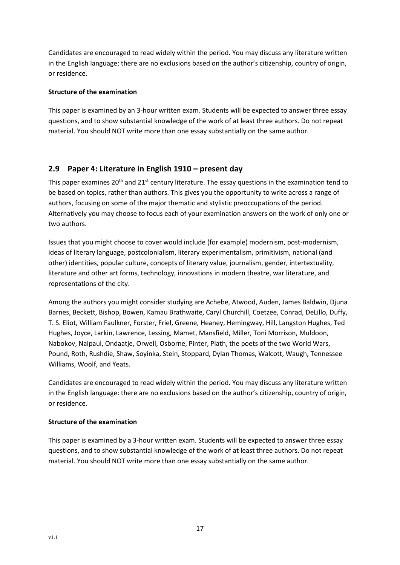Candidates are encouraged to read widely within the period. You may discuss any literature written in the English language: there are no exclusions based on the author's citizenship, country of origin, or residence.

#### **Structure of the examination**

This paper is examined by an 3-hour written exam. Students will be expected to answer three essay questions, and to show substantial knowledge of the work of at least three authors. Do not repeat material. You should NOT write more than one essay substantially on the same author.

# <span id="page-17-0"></span>**2.9 Paper 4: Literature in English 1910 – present day**

This paper examines 20<sup>th</sup> and 21<sup>st</sup> century literature. The essay questions in the examination tend to be based on topics, rather than authors. This gives you the opportunity to write across a range of authors, focusing on some of the major thematic and stylistic preoccupations of the period. Alternatively you may choose to focus each of your examination answers on the work of only one or two authors.

Issues that you might choose to cover would include (for example) modernism, post-modernism, ideas of literary language, postcolonialism, literary experimentalism, primitivism, national (and other) identities, popular culture, concepts of literary value, journalism, gender, intertextuality, literature and other art forms, technology, innovations in modern theatre, war literature, and representations of the city.

Among the authors you might consider studying are Achebe, Atwood, Auden, James Baldwin, Djuna Barnes, Beckett, Bishop, Bowen, Kamau Brathwaite, Caryl Churchill, Coetzee, Conrad, DeLillo, Duffy, T. S. Eliot, William Faulkner, Forster, Friel, Greene, Heaney, Hemingway, Hill, Langston Hughes, Ted Hughes, Joyce, Larkin, Lawrence, Lessing, Mamet, Mansfield, Miller, Toni Morrison, Muldoon, Nabokov, Naipaul, Ondaatje, Orwell, Osborne, Pinter, Plath, the poets of the two World Wars, Pound, Roth, Rushdie, Shaw, Soyinka, Stein, Stoppard, Dylan Thomas, Walcott, Waugh, Tennessee Williams, Woolf, and Yeats.

Candidates are encouraged to read widely within the period. You may discuss any literature written in the English language: there are no exclusions based on the author's citizenship, country of origin, or residence.

# **Structure of the examination**

This paper is examined by a 3-hour written exam. Students will be expected to answer three essay questions, and to show substantial knowledge of the work of at least three authors. Do not repeat material. You should NOT write more than one essay substantially on the same author.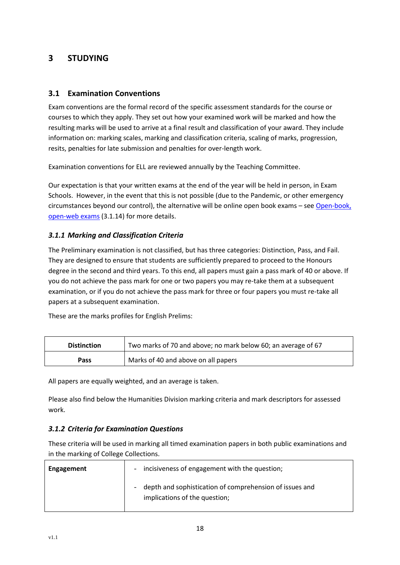# <span id="page-18-0"></span>**3 STUDYING**

# <span id="page-18-1"></span>**3.1 Examination Conventions**

Exam conventions are the formal record of the specific assessment standards for the course or courses to which they apply. They set out how your examined work will be marked and how the resulting marks will be used to arrive at a final result and classification of your award. They include information on: marking scales, marking and classification criteria, scaling of marks, progression, resits, penalties for late submission and penalties for over-length work.

Examination conventions for ELL are reviewed annually by the Teaching Committee.

Our expectation is that your written exams at the end of the year will be held in person, in Exam Schools. However, in the event that this is not possible (due to the Pandemic, or other emergency circumstances beyond our control), the alternative will be online open book exams – see [Open-book,](#page-26-0)  [open-web](#page-26-0) exams (3.1.14) for more details.

# <span id="page-18-2"></span>*3.1.1 Marking and Classification Criteria*

The Preliminary examination is not classified, but has three categories: Distinction, Pass, and Fail. They are designed to ensure that students are sufficiently prepared to proceed to the Honours degree in the second and third years. To this end, all papers must gain a pass mark of 40 or above. If you do not achieve the pass mark for one or two papers you may re-take them at a subsequent examination, or if you do not achieve the pass mark for three or four papers you must re-take all papers at a subsequent examination.

These are the marks profiles for English Prelims:

| <b>Distinction</b> | Two marks of 70 and above; no mark below 60; an average of 67 |
|--------------------|---------------------------------------------------------------|
| Pass               | Marks of 40 and above on all papers                           |

All papers are equally weighted, and an average is taken.

Please also find below the Humanities Division marking criteria and mark descriptors for assessed work.

# <span id="page-18-3"></span>*3.1.2 Criteria for Examination Questions*

These criteria will be used in marking all timed examination papers in both public examinations and in the marking of College Collections.

| Engagement | incisiveness of engagement with the question;<br>$\overline{\phantom{0}}$                |
|------------|------------------------------------------------------------------------------------------|
|            | depth and sophistication of comprehension of issues and<br>implications of the question; |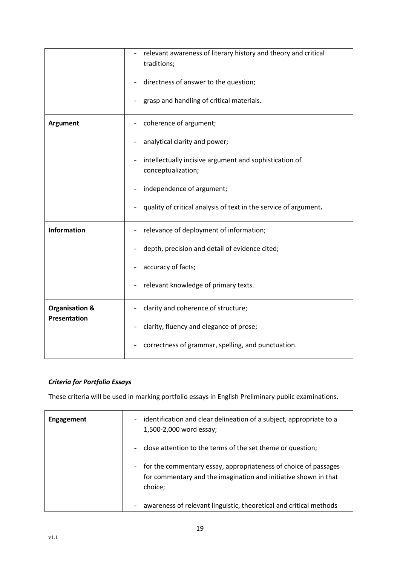|                                                  | relevant awareness of literary history and theory and critical               |
|--------------------------------------------------|------------------------------------------------------------------------------|
|                                                  | traditions;                                                                  |
|                                                  | directness of answer to the question;                                        |
|                                                  | grasp and handling of critical materials.                                    |
| <b>Argument</b>                                  | coherence of argument;                                                       |
|                                                  | analytical clarity and power;                                                |
|                                                  | intellectually incisive argument and sophistication of<br>conceptualization; |
|                                                  | independence of argument;                                                    |
|                                                  | quality of critical analysis of text in the service of argument.             |
| <b>Information</b>                               | relevance of deployment of information;                                      |
|                                                  | depth, precision and detail of evidence cited;                               |
|                                                  | accuracy of facts;                                                           |
|                                                  | relevant knowledge of primary texts.                                         |
| <b>Organisation &amp;</b><br><b>Presentation</b> | clarity and coherence of structure;                                          |
|                                                  | clarity, fluency and elegance of prose;                                      |
|                                                  | correctness of grammar, spelling, and punctuation.                           |

# *Criteria for Portfolio Essays*

These criteria will be used in marking portfolio essays in English Preliminary public examinations.

| <b>Engagement</b> | identification and clear delineation of a subject, appropriate to a<br>$\overline{\phantom{a}}$<br>1,500-2,000 word essay;                                                |
|-------------------|---------------------------------------------------------------------------------------------------------------------------------------------------------------------------|
|                   | close attention to the terms of the set theme or question;<br>$\overline{\phantom{a}}$                                                                                    |
|                   | for the commentary essay, appropriateness of choice of passages<br>$\overline{\phantom{a}}$<br>for commentary and the imagination and initiative shown in that<br>choice; |
|                   | awareness of relevant linguistic, theoretical and critical methods                                                                                                        |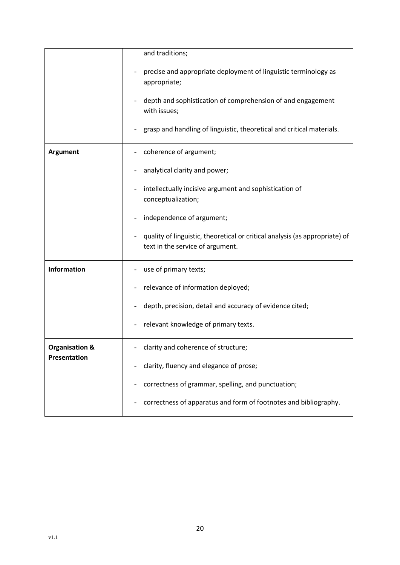|                           | and traditions;                                                                                                 |
|---------------------------|-----------------------------------------------------------------------------------------------------------------|
|                           | precise and appropriate deployment of linguistic terminology as<br>appropriate;                                 |
|                           | depth and sophistication of comprehension of and engagement<br>with issues;                                     |
|                           | grasp and handling of linguistic, theoretical and critical materials.                                           |
| <b>Argument</b>           | coherence of argument;                                                                                          |
|                           | analytical clarity and power;                                                                                   |
|                           | intellectually incisive argument and sophistication of<br>conceptualization;                                    |
|                           | independence of argument;                                                                                       |
|                           | quality of linguistic, theoretical or critical analysis (as appropriate) of<br>text in the service of argument. |
| <b>Information</b>        | use of primary texts;                                                                                           |
|                           | relevance of information deployed;                                                                              |
|                           | depth, precision, detail and accuracy of evidence cited;                                                        |
|                           | relevant knowledge of primary texts.                                                                            |
| <b>Organisation &amp;</b> | clarity and coherence of structure;                                                                             |
| Presentation              | clarity, fluency and elegance of prose;                                                                         |
|                           | correctness of grammar, spelling, and punctuation;                                                              |
|                           | correctness of apparatus and form of footnotes and bibliography.                                                |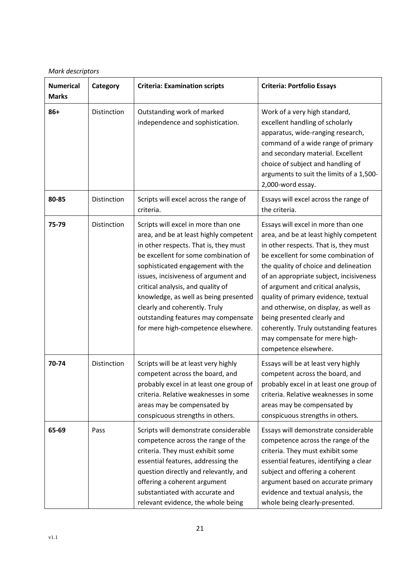*Mark descriptors*

| <b>Numerical</b><br><b>Marks</b> | Category    | <b>Criteria: Examination scripts</b>                                                                                                                                                                                                                                                                                                                                                                                                     | <b>Criteria: Portfolio Essays</b>                                                                                                                                                                                                                                                                                                                                                                                                                                                                           |
|----------------------------------|-------------|------------------------------------------------------------------------------------------------------------------------------------------------------------------------------------------------------------------------------------------------------------------------------------------------------------------------------------------------------------------------------------------------------------------------------------------|-------------------------------------------------------------------------------------------------------------------------------------------------------------------------------------------------------------------------------------------------------------------------------------------------------------------------------------------------------------------------------------------------------------------------------------------------------------------------------------------------------------|
| $86+$                            | Distinction | Outstanding work of marked<br>independence and sophistication.                                                                                                                                                                                                                                                                                                                                                                           | Work of a very high standard,<br>excellent handling of scholarly<br>apparatus, wide-ranging research,<br>command of a wide range of primary<br>and secondary material. Excellent<br>choice of subject and handling of<br>arguments to suit the limits of a 1,500-<br>2,000-word essay.                                                                                                                                                                                                                      |
| 80-85                            | Distinction | Scripts will excel across the range of<br>criteria.                                                                                                                                                                                                                                                                                                                                                                                      | Essays will excel across the range of<br>the criteria.                                                                                                                                                                                                                                                                                                                                                                                                                                                      |
| 75-79                            | Distinction | Scripts will excel in more than one<br>area, and be at least highly competent<br>in other respects. That is, they must<br>be excellent for some combination of<br>sophisticated engagement with the<br>issues, incisiveness of argument and<br>critical analysis, and quality of<br>knowledge, as well as being presented<br>clearly and coherently. Truly<br>outstanding features may compensate<br>for mere high-competence elsewhere. | Essays will excel in more than one<br>area, and be at least highly competent<br>in other respects. That is, they must<br>be excellent for some combination of<br>the quality of choice and delineation<br>of an appropriate subject, incisiveness<br>of argument and critical analysis,<br>quality of primary evidence, textual<br>and otherwise, on display, as well as<br>being presented clearly and<br>coherently. Truly outstanding features<br>may compensate for mere high-<br>competence elsewhere. |
| 70-74                            | Distinction | Scripts will be at least very highly<br>competent across the board, and<br>probably excel in at least one group of<br>criteria. Relative weaknesses in some<br>areas may be compensated by<br>conspicuous strengths in others.                                                                                                                                                                                                           | Essays will be at least very highly<br>competent across the board, and<br>probably excel in at least one group of<br>criteria. Relative weaknesses in some<br>areas may be compensated by<br>conspicuous strengths in others.                                                                                                                                                                                                                                                                               |
| 65-69                            | Pass        | Scripts will demonstrate considerable<br>competence across the range of the<br>criteria. They must exhibit some<br>essential features, addressing the<br>question directly and relevantly, and<br>offering a coherent argument<br>substantiated with accurate and<br>relevant evidence, the whole being                                                                                                                                  | Essays will demonstrate considerable<br>competence across the range of the<br>criteria. They must exhibit some<br>essential features, identifying a clear<br>subject and offering a coherent<br>argument based on accurate primary<br>evidence and textual analysis, the<br>whole being clearly-presented.                                                                                                                                                                                                  |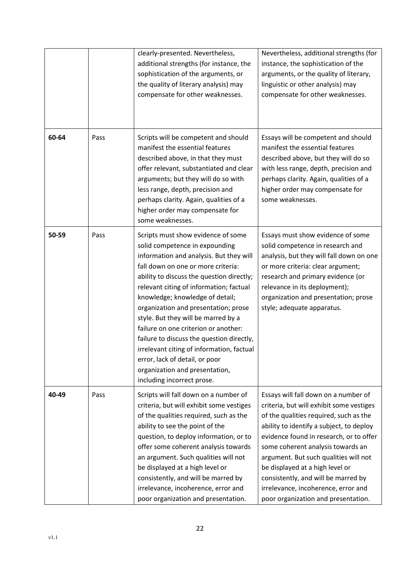|       |      | clearly-presented. Nevertheless,<br>additional strengths (for instance, the<br>sophistication of the arguments, or<br>the quality of literary analysis) may<br>compensate for other weaknesses.                                                                                                                                                                                                                                                                                                                                                                                                     | Nevertheless, additional strengths (for<br>instance, the sophistication of the<br>arguments, or the quality of literary,<br>linguistic or other analysis) may<br>compensate for other weaknesses.                                                                                                                                                                                                                                                       |
|-------|------|-----------------------------------------------------------------------------------------------------------------------------------------------------------------------------------------------------------------------------------------------------------------------------------------------------------------------------------------------------------------------------------------------------------------------------------------------------------------------------------------------------------------------------------------------------------------------------------------------------|---------------------------------------------------------------------------------------------------------------------------------------------------------------------------------------------------------------------------------------------------------------------------------------------------------------------------------------------------------------------------------------------------------------------------------------------------------|
| 60-64 | Pass | Scripts will be competent and should<br>manifest the essential features<br>described above, in that they must<br>offer relevant, substantiated and clear<br>arguments; but they will do so with<br>less range, depth, precision and<br>perhaps clarity. Again, qualities of a<br>higher order may compensate for<br>some weaknesses.                                                                                                                                                                                                                                                                | Essays will be competent and should<br>manifest the essential features<br>described above, but they will do so<br>with less range, depth, precision and<br>perhaps clarity. Again, qualities of a<br>higher order may compensate for<br>some weaknesses.                                                                                                                                                                                                |
| 50-59 | Pass | Scripts must show evidence of some<br>solid competence in expounding<br>information and analysis. But they will<br>fall down on one or more criteria:<br>ability to discuss the question directly;<br>relevant citing of information; factual<br>knowledge; knowledge of detail;<br>organization and presentation; prose<br>style. But they will be marred by a<br>failure on one criterion or another:<br>failure to discuss the question directly,<br>irrelevant citing of information, factual<br>error, lack of detail, or poor<br>organization and presentation,<br>including incorrect prose. | Essays must show evidence of some<br>solid competence in research and<br>analysis, but they will fall down on one<br>or more criteria: clear argument;<br>research and primary evidence (or<br>relevance in its deployment);<br>organization and presentation; prose<br>style; adequate apparatus.                                                                                                                                                      |
| 40-49 | Pass | Scripts will fall down on a number of<br>criteria, but will exhibit some vestiges<br>of the qualities required, such as the<br>ability to see the point of the<br>question, to deploy information, or to<br>offer some coherent analysis towards<br>an argument. Such qualities will not<br>be displayed at a high level or<br>consistently, and will be marred by<br>irrelevance, incoherence, error and<br>poor organization and presentation.                                                                                                                                                    | Essays will fall down on a number of<br>criteria, but will exhibit some vestiges<br>of the qualities required, such as the<br>ability to identify a subject, to deploy<br>evidence found in research, or to offer<br>some coherent analysis towards an<br>argument. But such qualities will not<br>be displayed at a high level or<br>consistently, and will be marred by<br>irrelevance, incoherence, error and<br>poor organization and presentation. |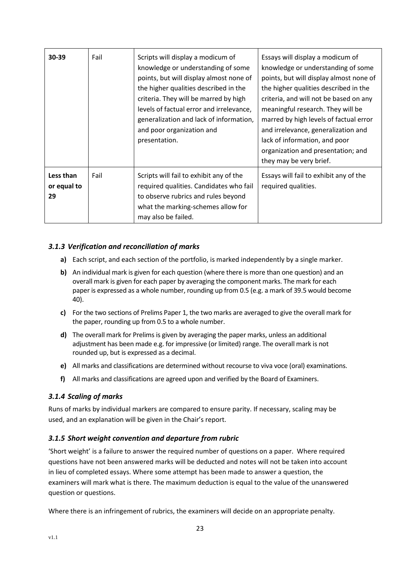| 30-39                          | Fail | Scripts will display a modicum of<br>knowledge or understanding of some<br>points, but will display almost none of<br>the higher qualities described in the<br>criteria. They will be marred by high<br>levels of factual error and irrelevance,<br>generalization and lack of information,<br>and poor organization and<br>presentation. | Essays will display a modicum of<br>knowledge or understanding of some<br>points, but will display almost none of<br>the higher qualities described in the<br>criteria, and will not be based on any<br>meaningful research. They will be<br>marred by high levels of factual error<br>and irrelevance, generalization and<br>lack of information, and poor<br>organization and presentation; and<br>they may be very brief. |
|--------------------------------|------|-------------------------------------------------------------------------------------------------------------------------------------------------------------------------------------------------------------------------------------------------------------------------------------------------------------------------------------------|------------------------------------------------------------------------------------------------------------------------------------------------------------------------------------------------------------------------------------------------------------------------------------------------------------------------------------------------------------------------------------------------------------------------------|
| Less than<br>or equal to<br>29 | Fail | Scripts will fail to exhibit any of the<br>required qualities. Candidates who fail<br>to observe rubrics and rules beyond<br>what the marking-schemes allow for<br>may also be failed.                                                                                                                                                    | Essays will fail to exhibit any of the<br>required qualities.                                                                                                                                                                                                                                                                                                                                                                |

# <span id="page-23-0"></span>*3.1.3 Verification and reconciliation of marks*

- **a)** Each script, and each section of the portfolio, is marked independently by a single marker.
- **b)** An individual mark is given for each question (where there is more than one question) and an overall mark is given for each paper by averaging the component marks. The mark for each paper is expressed as a whole number, rounding up from 0.5 (e.g. a mark of 39.5 would become 40).
- **c)** For the two sections of Prelims Paper 1, the two marks are averaged to give the overall mark for the paper, rounding up from 0.5 to a whole number.
- **d)** The overall mark for Prelims is given by averaging the paper marks, unless an additional adjustment has been made e.g. for impressive (or limited) range. The overall mark is not rounded up, but is expressed as a decimal.
- **e)** All marks and classifications are determined without recourse to viva voce (oral) examinations.
- **f)** All marks and classifications are agreed upon and verified by the Board of Examiners.

#### <span id="page-23-1"></span>*3.1.4 Scaling of marks*

Runs of marks by individual markers are compared to ensure parity. If necessary, scaling may be used, and an explanation will be given in the Chair's report.

#### <span id="page-23-2"></span>*3.1.5 Short weight convention and departure from rubric*

'Short weight' is a failure to answer the required number of questions on a paper. Where required questions have not been answered marks will be deducted and notes will not be taken into account in lieu of completed essays. Where some attempt has been made to answer a question, the examiners will mark what is there. The maximum deduction is equal to the value of the unanswered question or questions.

Where there is an infringement of rubrics, the examiners will decide on an appropriate penalty.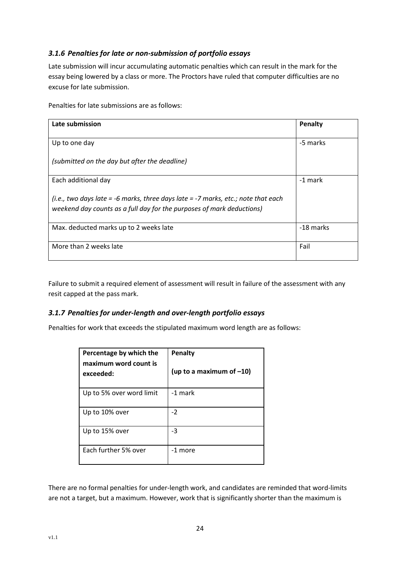# <span id="page-24-0"></span>*3.1.6 Penalties for late or non-submission of portfolio essays*

Late submission will incur accumulating automatic penalties which can result in the mark for the essay being lowered by a class or more. The Proctors have ruled that computer difficulties are no excuse for late submission.

Penalties for late submissions are as follows:

| Late submission                                                                                                                                            | Penalty   |
|------------------------------------------------------------------------------------------------------------------------------------------------------------|-----------|
| Up to one day                                                                                                                                              | -5 marks  |
| (submitted on the day but after the deadline)                                                                                                              |           |
| Each additional day                                                                                                                                        | -1 mark   |
| (i.e., two days late = -6 marks, three days late = -7 marks, etc.; note that each<br>weekend day counts as a full day for the purposes of mark deductions) |           |
| Max. deducted marks up to 2 weeks late                                                                                                                     | -18 marks |
| More than 2 weeks late                                                                                                                                     | Fail      |

Failure to submit a required element of assessment will result in failure of the assessment with any resit capped at the pass mark.

# <span id="page-24-1"></span>*3.1.7 Penalties for under-length and over-length portfolio essays*

Penalties for work that exceeds the stipulated maximum word length are as follows:

| Percentage by which the<br>maximum word count is<br>exceeded: | Penalty<br>(up to a maximum of $-10$ ) |
|---------------------------------------------------------------|----------------------------------------|
| Up to 5% over word limit                                      | -1 mark                                |
| Up to 10% over                                                | $-2$                                   |
| Up to 15% over                                                | -3                                     |
| Each further 5% over                                          | -1 more                                |

There are no formal penalties for under-length work, and candidates are reminded that word-limits are not a target, but a maximum. However, work that is significantly shorter than the maximum is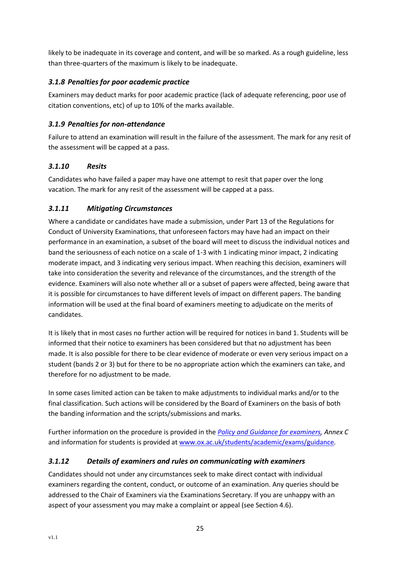likely to be inadequate in its coverage and content, and will be so marked. As a rough guideline, less than three-quarters of the maximum is likely to be inadequate.

# <span id="page-25-0"></span>*3.1.8 Penalties for poor academic practice*

Examiners may deduct marks for poor academic practice (lack of adequate referencing, poor use of citation conventions, etc) of up to 10% of the marks available.

# <span id="page-25-1"></span>*3.1.9 Penalties for non-attendance*

Failure to attend an examination will result in the failure of the assessment. The mark for any resit of the assessment will be capped at a pass.

# <span id="page-25-2"></span>*3.1.10 Resits*

Candidates who have failed a paper may have one attempt to resit that paper over the long vacation. The mark for any resit of the assessment will be capped at a pass.

# <span id="page-25-3"></span>*3.1.11 Mitigating Circumstances*

Where a candidate or candidates have made a submission, under Part 13 of the Regulations for Conduct of University Examinations, that unforeseen factors may have had an impact on their performance in an examination, a subset of the board will meet to discuss the individual notices and band the seriousness of each notice on a scale of 1-3 with 1 indicating minor impact, 2 indicating moderate impact, and 3 indicating very serious impact. When reaching this decision, examiners will take into consideration the severity and relevance of the circumstances, and the strength of the evidence. Examiners will also note whether all or a subset of papers were affected, being aware that it is possible for circumstances to have different levels of impact on different papers. The banding information will be used at the final board of examiners meeting to adjudicate on the merits of candidates.

It is likely that in most cases no further action will be required for notices in band 1. Students will be informed that their notice to examiners has been considered but that no adjustment has been made. It is also possible for there to be clear evidence of moderate or even very serious impact on a student (bands 2 or 3) but for there to be no appropriate action which the examiners can take, and therefore for no adjustment to be made.

In some cases limited action can be taken to make adjustments to individual marks and/or to the final classification. Such actions will be considered by the Board of Examiners on the basis of both the banding information and the scripts/submissions and marks.

Further information on the procedure is provided in the *[Policy and Guidance for examiners,](https://academic.admin.ox.ac.uk/examiners) Annex C*  and information for students is provided at [www.ox.ac.uk/students/academic/exams/guidance](http://www.ox.ac.uk/students/academic/exams/guidance)*.*

# <span id="page-25-4"></span>*3.1.12 Details of examiners and rules on communicating with examiners*

Candidates should not under any circumstances seek to make direct contact with individual examiners regarding the content, conduct, or outcome of an examination. Any queries should be addressed to the Chair of Examiners via the Examinations Secretary. If you are unhappy with an aspect of your assessment you may make a complaint or appeal (see Section 4.6).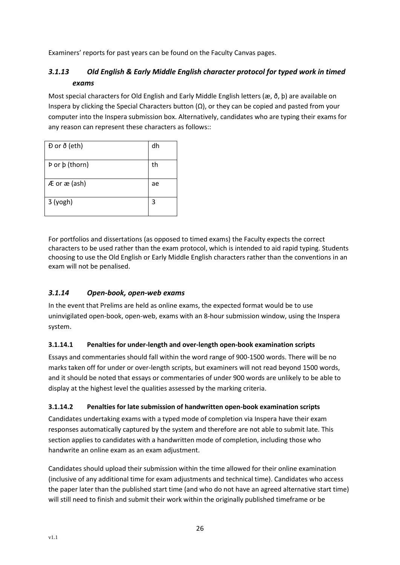Examiners' reports for past years can be found on the Faculty Canvas pages.

# <span id="page-26-1"></span>*3.1.13 Old English & Early Middle English character protocol for typed work in timed exams*

Most special characters for Old English and Early Middle English letters (æ, ð, þ) are available on Inspera by clicking the Special Characters button  $(Ω)$ , or they can be copied and pasted from your computer into the Inspera submission box. Alternatively, candidates who are typing their exams for any reason can represent these characters as follows::

| Đ or ð (eth)   | dh |
|----------------|----|
| Þ or þ (thorn) | th |
| Æ or æ (ash)   | ae |
| 3 (yogh)       | 3  |

For portfolios and dissertations (as opposed to timed exams) the Faculty expects the correct characters to be used rather than the exam protocol, which is intended to aid rapid typing. Students choosing to use the Old English or Early Middle English characters rather than the conventions in an exam will not be penalised.

# <span id="page-26-0"></span>*3.1.14 Open-book, open-web exams*

In the event that Prelims are held as online exams, the expected format would be to use uninvigilated open-book, open-web, exams with an 8-hour submission window, using the Inspera system.

# **3.1.14.1 Penalties for under-length and over-length open-book examination scripts**

Essays and commentaries should fall within the word range of 900-1500 words. There will be no marks taken off for under or over-length scripts, but examiners will not read beyond 1500 words, and it should be noted that essays or commentaries of under 900 words are unlikely to be able to display at the highest level the qualities assessed by the marking criteria.

# **3.1.14.2 Penalties for late submission of handwritten open-book examination scripts**

Candidates undertaking exams with a typed mode of completion via Inspera have their exam responses automatically captured by the system and therefore are not able to submit late. This section applies to candidates with a handwritten mode of completion, including those who handwrite an online exam as an exam adjustment.

Candidates should upload their submission within the time allowed for their online examination (inclusive of any additional time for exam adjustments and technical time). Candidates who access the paper later than the published start time (and who do not have an agreed alternative start time) will still need to finish and submit their work within the originally published timeframe or be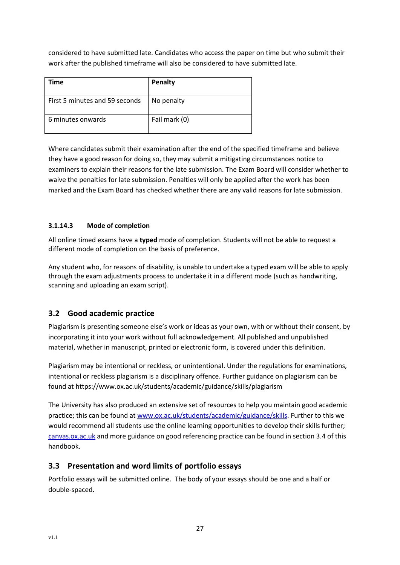considered to have submitted late. Candidates who access the paper on time but who submit their work after the published timeframe will also be considered to have submitted late.

| Time                           | Penalty       |
|--------------------------------|---------------|
| First 5 minutes and 59 seconds | No penalty    |
| 6 minutes onwards              | Fail mark (0) |

Where candidates submit their examination after the end of the specified timeframe and believe they have a good reason for doing so, they may submit a mitigating circumstances notice to examiners to explain their reasons for the late submission. The Exam Board will consider whether to waive the penalties for late submission. Penalties will only be applied after the work has been marked and the Exam Board has checked whether there are any valid reasons for late submission.

# **3.1.14.3 Mode of completion**

All online timed exams have a **typed** mode of completion. Students will not be able to request a different mode of completion on the basis of preference.

Any student who, for reasons of disability, is unable to undertake a typed exam will be able to apply through the exam adjustments process to undertake it in a different mode (such as handwriting, scanning and uploading an exam script).

# <span id="page-27-0"></span>**3.2 Good academic practice**

Plagiarism is presenting someone else's work or ideas as your own, with or without their consent, by incorporating it into your work without full acknowledgement. All published and unpublished material, whether in manuscript, printed or electronic form, is covered under this definition.

Plagiarism may be intentional or reckless, or unintentional. Under the regulations for examinations, intentional or reckless plagiarism is a disciplinary offence. Further guidance on plagiarism can be found at https://www.ox.ac.uk/students/academic/guidance/skills/plagiarism

The University has also produced an extensive set of resources to help you maintain good academic practice; this can be found at [www.ox.ac.uk/students/academic/guidance/skills.](http://www.ox.ac.uk/students/academic/guidance/skills) Further to this we would recommend all students use the online learning opportunities to develop their skills further; [canvas.ox.ac.uk](https://www.canvas.ox.ac.uk/) and more guidance on good referencing practice can be found in section 3.4 of this handbook.

# <span id="page-27-1"></span>**3.3 Presentation and word limits of portfolio essays**

Portfolio essays will be submitted online. The body of your essays should be one and a half or double-spaced.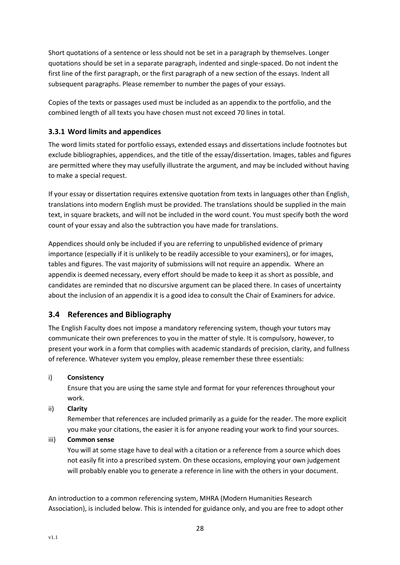Short quotations of a sentence or less should not be set in a paragraph by themselves. Longer quotations should be set in a separate paragraph, indented and single-spaced. Do not indent the first line of the first paragraph, or the first paragraph of a new section of the essays. Indent all subsequent paragraphs. Please remember to number the pages of your essays.

Copies of the texts or passages used must be included as an appendix to the portfolio, and the combined length of all texts you have chosen must not exceed 70 lines in total.

# <span id="page-28-0"></span>**3.3.1 Word limits and appendices**

The word limits stated for portfolio essays, extended essays and dissertations include footnotes but exclude bibliographies, appendices, and the title of the essay/dissertation. Images, tables and figures are permitted where they may usefully illustrate the argument, and may be included without having to make a special request.

If your essay or dissertation requires extensive quotation from texts in languages other than English, translations into modern English must be provided. The translations should be supplied in the main text, in square brackets, and will not be included in the word count. You must specify both the word count of your essay and also the subtraction you have made for translations.

Appendices should only be included if you are referring to unpublished evidence of primary importance (especially if it is unlikely to be readily accessible to your examiners), or for images, tables and figures. The vast majority of submissions will not require an appendix. Where an appendix is deemed necessary, every effort should be made to keep it as short as possible, and candidates are reminded that no discursive argument can be placed there. In cases of uncertainty about the inclusion of an appendix it is a good idea to consult the Chair of Examiners for advice.

# <span id="page-28-1"></span>**3.4 References and Bibliography**

The English Faculty does not impose a mandatory referencing system, though your tutors may communicate their own preferences to you in the matter of style. It is compulsory, however, to present your work in a form that complies with academic standards of precision, clarity, and fullness of reference. Whatever system you employ, please remember these three essentials:

#### i) **Consistency**

Ensure that you are using the same style and format for your references throughout your work.

ii) **Clarity**

Remember that references are included primarily as a guide for the reader. The more explicit you make your citations, the easier it is for anyone reading your work to find your sources.

#### iii) **Common sense**

You will at some stage have to deal with a citation or a reference from a source which does not easily fit into a prescribed system. On these occasions, employing your own judgement will probably enable you to generate a reference in line with the others in your document.

An introduction to a common referencing system, MHRA (Modern Humanities Research Association), is included below. This is intended for guidance only, and you are free to adopt other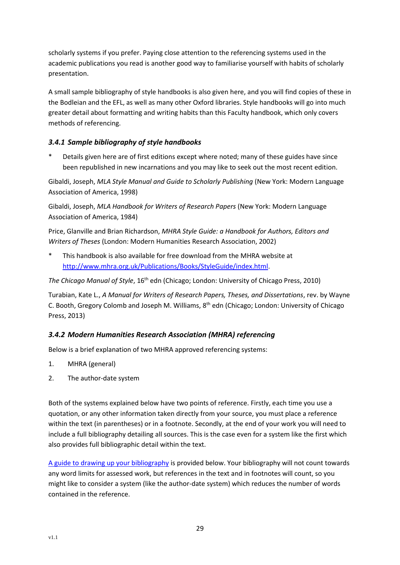scholarly systems if you prefer. Paying close attention to the referencing systems used in the academic publications you read is another good way to familiarise yourself with habits of scholarly presentation.

A small sample bibliography of style handbooks is also given here, and you will find copies of these in the Bodleian and the EFL, as well as many other Oxford libraries. Style handbooks will go into much greater detail about formatting and writing habits than this Faculty handbook, which only covers methods of referencing.

# <span id="page-29-0"></span>*3.4.1 Sample bibliography of style handbooks*

Details given here are of first editions except where noted; many of these guides have since been republished in new incarnations and you may like to seek out the most recent edition.

Gibaldi, Joseph, *MLA Style Manual and Guide to Scholarly Publishing* (New York: Modern Language Association of America, 1998)

Gibaldi, Joseph, *MLA Handbook for Writers of Research Papers* (New York: Modern Language Association of America, 1984)

Price, Glanville and Brian Richardson, *MHRA Style Guide: a Handbook for Authors, Editors and Writers of Theses* (London: Modern Humanities Research Association, 2002)

This handbook is also available for free download from the MHRA website at [http://www.mhra.org.uk/Publications/Books/StyleGuide/index.html.](http://www.mhra.org.uk/Publications/Books/StyleGuide/index.html)

The Chicago Manual of Style, 16<sup>th</sup> edn (Chicago; London: University of Chicago Press, 2010)

Turabian, Kate L., *A Manual for Writers of Research Papers, Theses, and Dissertations*, rev. by Wayne C. Booth, Gregory Colomb and Joseph M. Williams, 8<sup>th</sup> edn (Chicago; London: University of Chicago Press, 2013)

# <span id="page-29-1"></span>*3.4.2 Modern Humanities Research Association (MHRA) referencing*

Below is a brief explanation of two MHRA approved referencing systems:

- 1. MHRA (general)
- 2. The author-date system

Both of the systems explained below have two points of reference. Firstly, each time you use a quotation, or any other information taken directly from your source, you must place a reference within the text (in parentheses) or in a footnote. Secondly, at the end of your work you will need to include a full bibliography detailing all sources. This is the case even for a system like the first which also provides full bibliographic detail within the text.

[A guide to drawing up your bibliography](#page-36-0) is provided below. Your bibliography will not count towards any word limits for assessed work, but references in the text and in footnotes will count, so you might like to consider a system (like the author-date system) which reduces the number of words contained in the reference.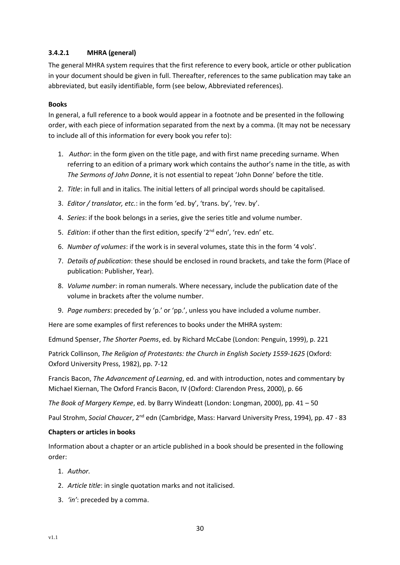#### **3.4.2.1 MHRA (general)**

The general MHRA system requires that the first reference to every book, article or other publication in your document should be given in full. Thereafter, references to the same publication may take an abbreviated, but easily identifiable, form (see below, Abbreviated references).

#### **Books**

In general, a full reference to a book would appear in a footnote and be presented in the following order, with each piece of information separated from the next by a comma. (It may not be necessary to include all of this information for every book you refer to):

- 1. *Author*: in the form given on the title page, and with first name preceding surname. When referring to an edition of a primary work which contains the author's name in the title, as with *The Sermons of John Donne*, it is not essential to repeat 'John Donne' before the title.
- 2. *Title*: in full and in italics. The initial letters of all principal words should be capitalised.
- 3. *Editor / translator, etc.*: in the form 'ed. by', 'trans. by', 'rev. by'.
- 4. *Series*: if the book belongs in a series, give the series title and volume number.
- 5. *Edition*: if other than the first edition, specify '2nd edn', 'rev. edn' etc.
- 6. *Number of volumes*: if the work is in several volumes, state this in the form '4 vols'.
- 7. *Details of publication*: these should be enclosed in round brackets, and take the form (Place of publication: Publisher, Year).
- 8. *Volume number*: in roman numerals. Where necessary, include the publication date of the volume in brackets after the volume number.
- 9. *Page numbers*: preceded by 'p.' or 'pp.', unless you have included a volume number.

Here are some examples of first references to books under the MHRA system:

Edmund Spenser, *The Shorter Poems*, ed. by Richard McCabe (London: Penguin, 1999), p. 221

Patrick Collinson, *The Religion of Protestants: the Church in English Society 1559-1625* (Oxford: Oxford University Press, 1982), pp. 7-12

Francis Bacon, *The Advancement of Learning*, ed. and with introduction, notes and commentary by Michael Kiernan, The Oxford Francis Bacon, IV (Oxford: Clarendon Press, 2000), p. 66

*The Book of Margery Kempe*, ed. by Barry Windeatt (London: Longman, 2000), pp. 41 – 50

Paul Strohm, *Social Chaucer*, 2nd edn (Cambridge, Mass: Harvard University Press, 1994), pp. 47 - 83

#### **Chapters or articles in books**

Information about a chapter or an article published in a book should be presented in the following order:

- 1. *Author.*
- 2. *Article title*: in single quotation marks and not italicised.
- 3. *'in'*: preceded by a comma.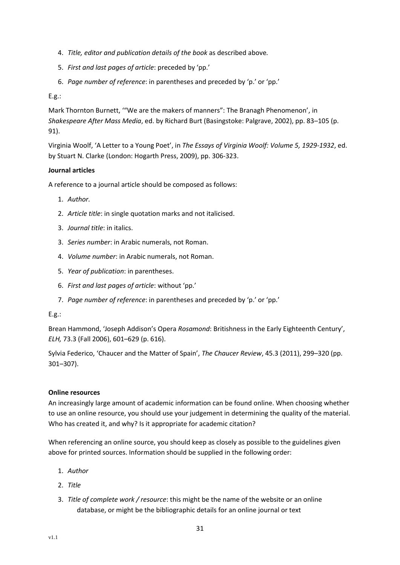- 4. *Title, editor and publication details of the book* as described above*.*
- 5. *First and last pages of article*: preceded by 'pp.'
- 6. *Page number of reference*: in parentheses and preceded by 'p.' or 'pp.'

E.g.:

Mark Thornton Burnett, '"We are the makers of manners": The Branagh Phenomenon', in *Shakespeare After Mass Media*, ed. by Richard Burt (Basingstoke: Palgrave, 2002), pp. 83–105 (p. 91).

Virginia Woolf, 'A Letter to a Young Poet', in *The Essays of Virginia Woolf: Volume 5, 1929-1932*, ed. by Stuart N. Clarke (London: Hogarth Press, 2009), pp. 306-323.

#### **Journal articles**

A reference to a journal article should be composed as follows:

- 1. *Author.*
- 2. *Article title*: in single quotation marks and not italicised.
- 3. *Journal title*: in italics.
- 3. *Series number*: in Arabic numerals, not Roman.
- 4. *Volume number*: in Arabic numerals, not Roman.
- 5. *Year of publication*: in parentheses.
- 6. *First and last pages of article*: without 'pp.'
- 7. *Page number of reference*: in parentheses and preceded by 'p.' or 'pp.'

#### E.g.:

Brean Hammond, 'Joseph Addison's Opera *Rosamond*: Britishness in the Early Eighteenth Century', *ELH,* 73.3 (Fall 2006), 601–629 (p. 616).

Sylvia Federico, 'Chaucer and the Matter of Spain', *The Chaucer Review*, 45.3 (2011), 299–320 (pp. 301–307).

#### **Online resources**

An increasingly large amount of academic information can be found online. When choosing whether to use an online resource, you should use your judgement in determining the quality of the material. Who has created it, and why? Is it appropriate for academic citation?

When referencing an online source, you should keep as closely as possible to the guidelines given above for printed sources. Information should be supplied in the following order:

- 1. *Author*
- 2. *Title*
- 3. *Title of complete work / resource*: this might be the name of the website or an online database, or might be the bibliographic details for an online journal or text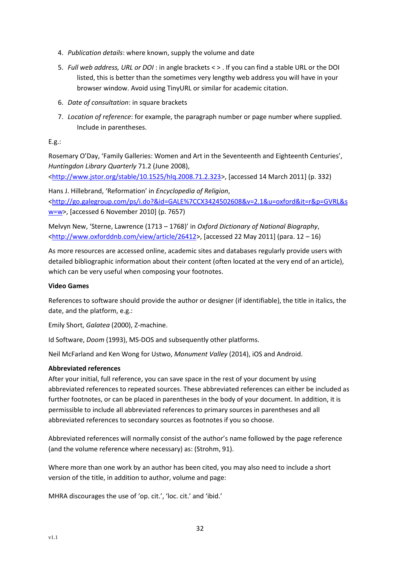- 4. *Publication details*: where known, supply the volume and date
- 5. *Full web address, URL or DOI*: in angle brackets < > . If you can find a stable URL or the DOI listed, this is better than the sometimes very lengthy web address you will have in your browser window. Avoid using TinyURL or similar for academic citation.
- 6. *Date of consultation*: in square brackets
- 7. *Location of reference*: for example, the paragraph number or page number where supplied. Include in parentheses.

#### E.g.:

Rosemary O'Day, 'Family Galleries: Women and Art in the Seventeenth and Eighteenth Centuries', *Huntingdon Library Quarterly* 71.2 (June 2008), [<http://www.jstor.org/stable/10.1525/hlq.2008.71.2.323>](http://www.jstor.org/stable/10.1525/hlq.2008.71.2.323), [accessed 14 March 2011] (p. 332)

Hans J. Hillebrand, 'Reformation' in *Encyclopedia of Religion*, [<http://go.galegroup.com/ps/i.do?&id=GALE%7CCX3424502608&v=2.1&u=oxford&it=r&p=GVRL&s](http://go.galegroup.com/ps/i.do?&id=GALE%7CCX3424502608&v=2.1&u=oxford&it=r&p=GVRL&sw=w) [w=w>](http://go.galegroup.com/ps/i.do?&id=GALE%7CCX3424502608&v=2.1&u=oxford&it=r&p=GVRL&sw=w), [accessed 6 November 2010] (p. 7657)

Melvyn New, 'Sterne, Lawrence (1713 – 1768)' in *Oxford Dictionary of National Biography*, [<http://www.oxforddnb.com/view/article/26412>](http://www.oxforddnb.com/view/article/26412), [accessed 22 May 2011] (para. 12 – 16)

As more resources are accessed online, academic sites and databases regularly provide users with detailed bibliographic information about their content (often located at the very end of an article), which can be very useful when composing your footnotes.

#### **Video Games**

References to software should provide the author or designer (if identifiable), the title in italics, the date, and the platform, e.g.:

Emily Short, *Galatea* (2000), Z-machine.

Id Software, *Doom* (1993), MS-DOS and subsequently other platforms.

Neil McFarland and Ken Wong for Ustwo, *Monument Valley* (2014), iOS and Android.

#### **Abbreviated references**

After your initial, full reference, you can save space in the rest of your document by using abbreviated references to repeated sources. These abbreviated references can either be included as further footnotes, or can be placed in parentheses in the body of your document. In addition, it is permissible to include all abbreviated references to primary sources in parentheses and all abbreviated references to secondary sources as footnotes if you so choose.

Abbreviated references will normally consist of the author's name followed by the page reference (and the volume reference where necessary) as: (Strohm, 91).

Where more than one work by an author has been cited, you may also need to include a short version of the title, in addition to author, volume and page:

MHRA discourages the use of 'op. cit.', 'loc. cit.' and 'ibid.'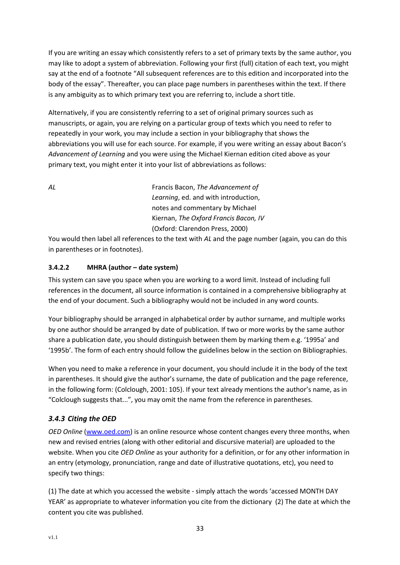If you are writing an essay which consistently refers to a set of primary texts by the same author, you may like to adopt a system of abbreviation. Following your first (full) citation of each text, you might say at the end of a footnote "All subsequent references are to this edition and incorporated into the body of the essay". Thereafter, you can place page numbers in parentheses within the text. If there is any ambiguity as to which primary text you are referring to, include a short title.

Alternatively, if you are consistently referring to a set of original primary sources such as manuscripts, or again, you are relying on a particular group of texts which you need to refer to repeatedly in your work, you may include a section in your bibliography that shows the abbreviations you will use for each source. For example, if you were writing an essay about Bacon's *Advancement of Learning* and you were using the Michael Kiernan edition cited above as your primary text, you might enter it into your list of abbreviations as follows:

*AL* Francis Bacon, *The Advancement of Learning*, ed. and with introduction, notes and commentary by Michael Kiernan, *The Oxford Francis Bacon, IV* (Oxford: Clarendon Press, 2000)

You would then label all references to the text with *AL* and the page number (again, you can do this in parentheses or in footnotes).

# **3.4.2.2 MHRA (author – date system)**

This system can save you space when you are working to a word limit. Instead of including full references in the document, all source information is contained in a comprehensive bibliography at the end of your document. Such a bibliography would not be included in any word counts.

Your bibliography should be arranged in alphabetical order by author surname, and multiple works by one author should be arranged by date of publication. If two or more works by the same author share a publication date, you should distinguish between them by marking them e.g. '1995a' and '1995b'. The form of each entry should follow the guidelines below in the section on Bibliographies.

When you need to make a reference in your document, you should include it in the body of the text in parentheses. It should give the author's surname, the date of publication and the page reference, in the following form: (Colclough, 2001: 105). If your text already mentions the author's name, as in "Colclough suggests that...", you may omit the name from the reference in parentheses.

# <span id="page-33-0"></span>*3.4.3 Citing the OED*

*OED Online* [\(www.oed.com\)](http://www.oed.com/) is an online resource whose content changes every three months, when new and revised entries (along with other editorial and discursive material) are uploaded to the website. When you cite *OED Online* as your authority for a definition, or for any other information in an entry (etymology, pronunciation, range and date of illustrative quotations, etc), you need to specify two things:

(1) The date at which you accessed the website - simply attach the words 'accessed MONTH DAY YEAR' as appropriate to whatever information you cite from the dictionary (2) The date at which the content you cite was published.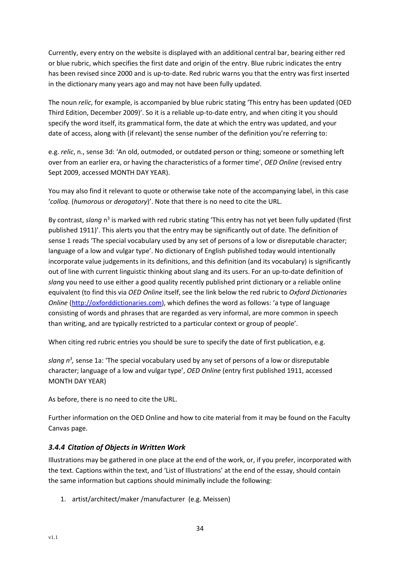Currently, every entry on the website is displayed with an additional central bar, bearing either red or blue rubric, which specifies the first date and origin of the entry. Blue rubric indicates the entry has been revised since 2000 and is up-to-date. Red rubric warns you that the entry was first inserted in the dictionary many years ago and may not have been fully updated.

The noun *relic*, for example, is accompanied by blue rubric stating 'This entry has been updated (OED Third Edition, December 2009)'. So it is a reliable up-to-date entry, and when citing it you should specify the word itself, its grammatical form, the date at which the entry was updated, and your date of access, along with (if relevant) the sense number of the definition you're referring to:

e.g. *relic*, n., sense 3d: 'An old, outmoded, or outdated person or thing; someone or something left over from an earlier era, or having the characteristics of a former time', *OED Online* (revised entry Sept 2009, accessed MONTH DAY YEAR).

You may also find it relevant to quote or otherwise take note of the accompanying label, in this case '*colloq.* (*humorous* or *derogatory*)'. Note that there is no need to cite the URL.

By contrast, slang n<sup>3</sup> is marked with red rubric stating 'This entry has not yet been fully updated (first published 1911)'. This alerts you that the entry may be significantly out of date. The definition of sense 1 reads 'The special vocabulary used by any set of persons of a low or disreputable character; language of a low and vulgar type'. No dictionary of English published today would intentionally incorporate value judgements in its definitions, and this definition (and its vocabulary) is significantly out of line with current linguistic thinking about slang and its users. For an up-to-date definition of *slang* you need to use either a good quality recently published print dictionary or a reliable online equivalent (to find this via *OED Online* itself, see the link below the red rubric to *Oxford Dictionaries Online* [\(http://oxforddictionaries.com](http://oxforddictionaries.com/)), which defines the word as follows: 'a type of language consisting of words and phrases that are regarded as very informal, are more common in speech than writing, and are typically restricted to a particular context or group of people'.

When citing red rubric entries you should be sure to specify the date of first publication, e.g.

slang n<sup>3</sup>, sense 1a: 'The special vocabulary used by any set of persons of a low or disreputable character; language of a low and vulgar type', *OED Online* (entry first published 1911, accessed MONTH DAY YEAR)

As before, there is no need to cite the URL.

Further information on the OED Online and how to cite material from it may be found on the Faculty Canvas page.

# <span id="page-34-0"></span>*3.4.4 Citation of Objects in Written Work*

Illustrations may be gathered in one place at the end of the work, or, if you prefer, incorporated with the text. Captions within the text, and 'List of Illustrations' at the end of the essay, should contain the same information but captions should minimally include the following:

1. artist/architect/maker /manufacturer (e.g. Meissen)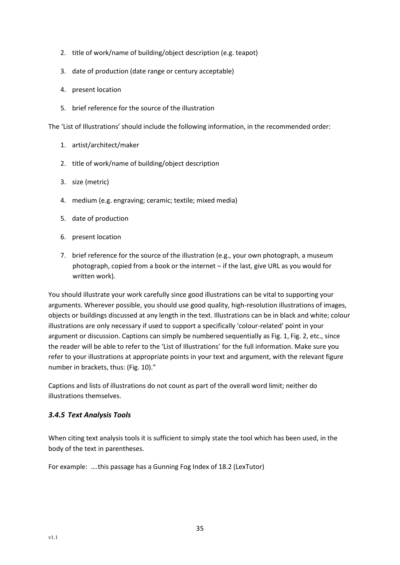- 2. title of work/name of building/object description (e.g. teapot)
- 3. date of production (date range or century acceptable)
- 4. present location
- 5. brief reference for the source of the illustration

The 'List of Illustrations' should include the following information, in the recommended order:

- 1. artist/architect/maker
- 2. title of work/name of building/object description
- 3. size (metric)
- 4. medium (e.g. engraving; ceramic; textile; mixed media)
- 5. date of production
- 6. present location
- 7. brief reference for the source of the illustration (e.g., your own photograph, a museum photograph, copied from a book or the internet – if the last, give URL as you would for written work).

You should illustrate your work carefully since good illustrations can be vital to supporting your arguments. Wherever possible, you should use good quality, high-resolution illustrations of images, objects or buildings discussed at any length in the text. Illustrations can be in black and white; colour illustrations are only necessary if used to support a specifically 'colour-related' point in your argument or discussion. Captions can simply be numbered sequentially as Fig. 1, Fig. 2, etc., since the reader will be able to refer to the 'List of Illustrations' for the full information. Make sure you refer to your illustrations at appropriate points in your text and argument, with the relevant figure number in brackets, thus: (Fig. 10)."

Captions and lists of illustrations do not count as part of the overall word limit; neither do illustrations themselves.

# <span id="page-35-0"></span>*3.4.5 Text Analysis Tools*

When citing text analysis tools it is sufficient to simply state the tool which has been used, in the body of the text in parentheses.

For example: ….this passage has a Gunning Fog Index of 18.2 (LexTutor)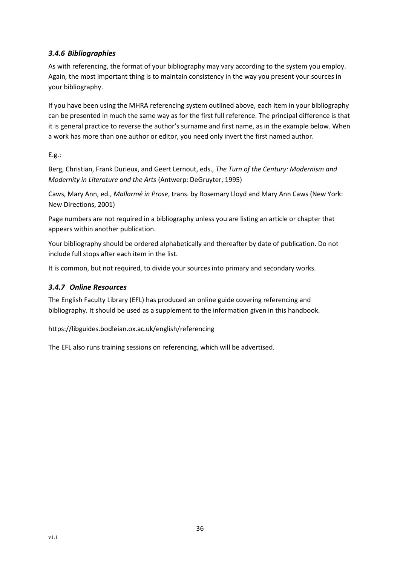# <span id="page-36-0"></span>*3.4.6 Bibliographies*

As with referencing, the format of your bibliography may vary according to the system you employ. Again, the most important thing is to maintain consistency in the way you present your sources in your bibliography.

If you have been using the MHRA referencing system outlined above, each item in your bibliography can be presented in much the same way as for the first full reference. The principal difference is that it is general practice to reverse the author's surname and first name, as in the example below. When a work has more than one author or editor, you need only invert the first named author.

# E.g.:

Berg, Christian, Frank Durieux, and Geert Lernout, eds., *The Turn of the Century: Modernism and Modernity in Literature and the Arts* (Antwerp: DeGruyter, 1995)

Caws, Mary Ann, ed., *Mallarmé in Prose*, trans. by Rosemary Lloyd and Mary Ann Caws (New York: New Directions, 2001)

Page numbers are not required in a bibliography unless you are listing an article or chapter that appears within another publication.

Your bibliography should be ordered alphabetically and thereafter by date of publication. Do not include full stops after each item in the list.

It is common, but not required, to divide your sources into primary and secondary works.

# <span id="page-36-1"></span>*3.4.7 Online Resources*

The English Faculty Library (EFL) has produced an online guide covering referencing and bibliography. It should be used as a supplement to the information given in this handbook.

https://libguides.bodleian.ox.ac.uk/english/referencing

The EFL also runs training sessions on referencing, which will be advertised.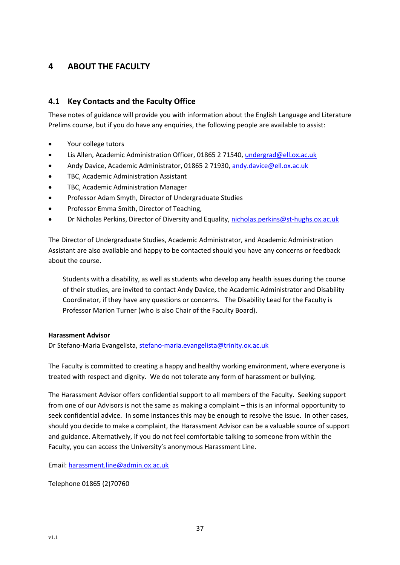# <span id="page-37-0"></span>**4 ABOUT THE FACULTY**

# <span id="page-37-1"></span>**4.1 Key Contacts and the Faculty Office**

These notes of guidance will provide you with information about the English Language and Literature Prelims course, but if you do have any enquiries, the following people are available to assist:

- Your college tutors
- Lis Allen, Academic Administration Officer, 01865 2 71540[, undergrad@ell.ox.ac.uk](mailto:undergrad@ell.ox.ac.uk)
- Andy Davice, Academic Administrator, 01865 2 71930[, andy.davice@ell.ox.ac.uk](mailto:andy.davice@ell.ox.ac.uk)
- TBC, Academic Administration Assistant
- TBC, Academic Administration Manager
- Professor Adam Smyth, Director of Undergraduate Studies
- Professor Emma Smith, Director of Teaching,
- Dr Nicholas Perkins, Director of Diversity and Equality[, nicholas.perkins@st-hughs.ox.ac.uk](mailto:nicholas.perkins@st-hughs.ox.ac.uk?subject=Diversity%20&%20Equality)

The Director of Undergraduate Studies, Academic Administrator, and Academic Administration Assistant are also available and happy to be contacted should you have any concerns or feedback about the course.

Students with a disability, as well as students who develop any health issues during the course of their studies, are invited to contact Andy Davice, the Academic Administrator and Disability Coordinator, if they have any questions or concerns. The Disability Lead for the Faculty is Professor Marion Turner (who is also Chair of the Faculty Board).

#### **Harassment Advisor**

Dr Stefano-Maria Evangelista, [stefano-maria.evangelista@trinity.ox.ac.uk](mailto:stefano-maria.evangelista@trinity.ox.ac.uk)

The Faculty is committed to creating a happy and healthy working environment, where everyone is treated with respect and dignity. We do not tolerate any form of harassment or bullying.

The Harassment Advisor offers confidential support to all members of the Faculty. Seeking support from one of our Advisors is not the same as making a complaint – this is an informal opportunity to seek confidential advice. In some instances this may be enough to resolve the issue. In other cases, should you decide to make a complaint, the Harassment Advisor can be a valuable source of support and guidance. Alternatively, if you do not feel comfortable talking to someone from within the Faculty, you can access the University's anonymous Harassment Line.

Email: [harassment.line@admin.ox.ac.uk](mailto:harassment.line@admin.ox.ac.uk)

Telephone 01865 (2)70760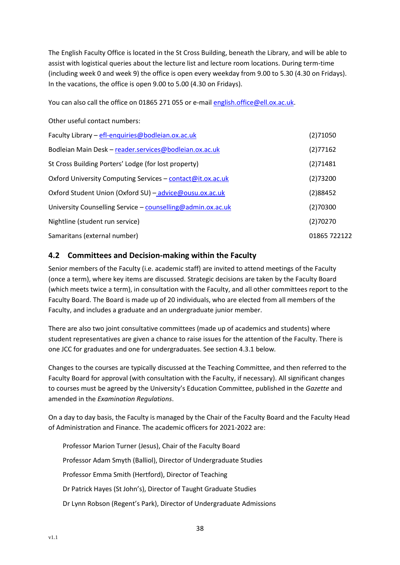The English Faculty Office is located in the St Cross Building, beneath the Library, and will be able to assist with logistical queries about the lecture list and lecture room locations. During term-time (including week 0 and week 9) the office is open every weekday from 9.00 to 5.30 (4.30 on Fridays). In the vacations, the office is open 9.00 to 5.00 (4.30 on Fridays).

You can also call the office on 01865 271 055 or e-mail [english.office@ell.ox.ac.uk.](mailto:english.office@ell.ox.ac.uk)

Other useful contact numbers:

| (2)71050     |
|--------------|
| (2)77162     |
| (2)71481     |
| (2)73200     |
| (2)88452     |
| (2)70300     |
| (2)70270     |
| 01865 722122 |
|              |

# <span id="page-38-0"></span>**4.2 Committees and Decision-making within the Faculty**

Senior members of the Faculty (i.e. academic staff) are invited to attend meetings of the Faculty (once a term), where key items are discussed. Strategic decisions are taken by the Faculty Board (which meets twice a term), in consultation with the Faculty, and all other committees report to the Faculty Board. The Board is made up of 20 individuals, who are elected from all members of the Faculty, and includes a graduate and an undergraduate junior member.

There are also two joint consultative committees (made up of academics and students) where student representatives are given a chance to raise issues for the attention of the Faculty. There is one JCC for graduates and one for undergraduates. See section 4.3.1 below*.*

Changes to the courses are typically discussed at the Teaching Committee, and then referred to the Faculty Board for approval (with consultation with the Faculty, if necessary). All significant changes to courses must be agreed by the University's Education Committee, published in the *Gazette* and amended in the *Examination Regulations*.

On a day to day basis, the Faculty is managed by the Chair of the Faculty Board and the Faculty Head of Administration and Finance. The academic officers for 2021-2022 are:

Professor Marion Turner (Jesus), Chair of the Faculty Board Professor Adam Smyth (Balliol), Director of Undergraduate Studies Professor Emma Smith (Hertford), Director of Teaching Dr Patrick Hayes (St John's), Director of Taught Graduate Studies Dr Lynn Robson (Regent's Park), Director of Undergraduate Admissions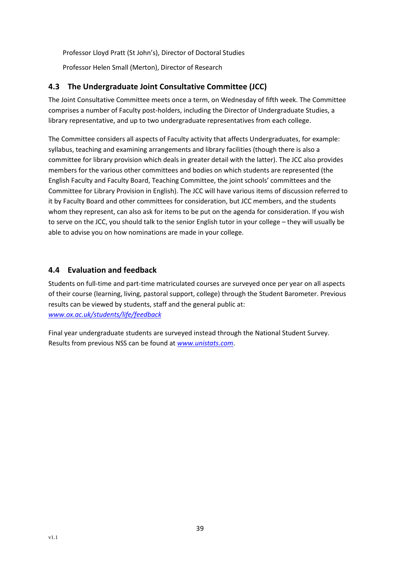Professor Lloyd Pratt (St John's), Director of Doctoral Studies Professor Helen Small (Merton), Director of Research

# <span id="page-39-0"></span>**4.3 The Undergraduate Joint Consultative Committee (JCC)**

The Joint Consultative Committee meets once a term, on Wednesday of fifth week. The Committee comprises a number of Faculty post-holders, including the Director of Undergraduate Studies, a library representative, and up to two undergraduate representatives from each college.

The Committee considers all aspects of Faculty activity that affects Undergraduates, for example: syllabus, teaching and examining arrangements and library facilities (though there is also a committee for library provision which deals in greater detail with the latter). The JCC also provides members for the various other committees and bodies on which students are represented (the English Faculty and Faculty Board, Teaching Committee, the joint schools' committees and the Committee for Library Provision in English). The JCC will have various items of discussion referred to it by Faculty Board and other committees for consideration, but JCC members, and the students whom they represent, can also ask for items to be put on the agenda for consideration. If you wish to serve on the JCC, you should talk to the senior English tutor in your college – they will usually be able to advise you on how nominations are made in your college.

# <span id="page-39-1"></span>**4.4 Evaluation and feedback**

Students on full-time and part-time matriculated courses are surveyed once per year on all aspects of their course (learning, living, pastoral support, college) through the Student Barometer. Previous results can be viewed by students, staff and the general public at: *[www.ox.ac.uk/students/life/feedback](http://www.ox.ac.uk/students/life/feedback)*

Final year undergraduate students are surveyed instead through the National Student Survey. Results from previous NSS can be found at *[www.unistats.com](http://www.unistats.com/)*.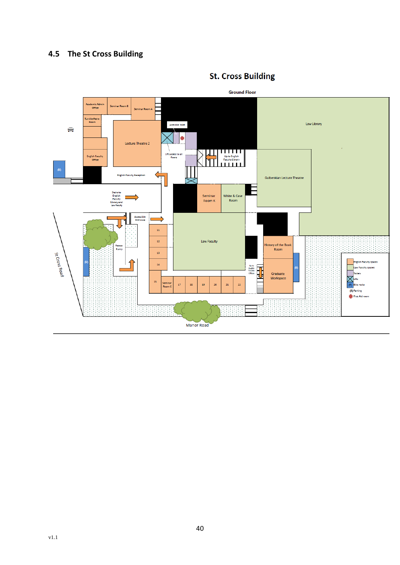# <span id="page-40-0"></span>**4.5 The St Cross Building**



# **St. Cross Building**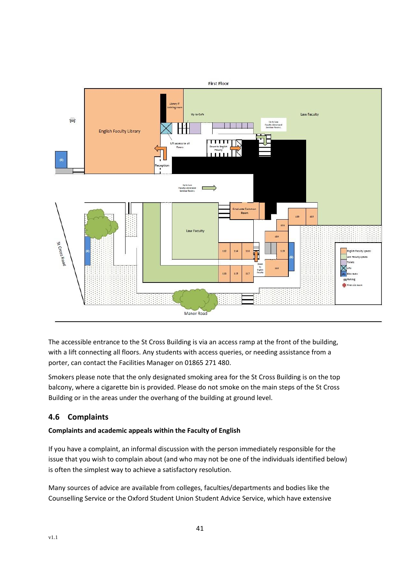

The accessible entrance to the St Cross Building is via an access ramp at the front of the building, with a lift connecting all floors. Any students with access queries, or needing assistance from a porter, can contact the Facilities Manager on 01865 271 480.

Smokers please note that the only designated smoking area for the St Cross Building is on the top balcony, where a cigarette bin is provided. Please do not smoke on the main steps of the St Cross Building or in the areas under the overhang of the building at ground level.

# <span id="page-41-0"></span>**4.6 Complaints**

# **Complaints and academic appeals within the Faculty of English**

If you have a complaint, an informal discussion with the person immediately responsible for the issue that you wish to complain about (and who may not be one of the individuals identified below) is often the simplest way to achieve a satisfactory resolution.

Many sources of advice are available from colleges, faculties/departments and bodies like the Counselling Service or the Oxford Student Union Student Advice Service, which have extensive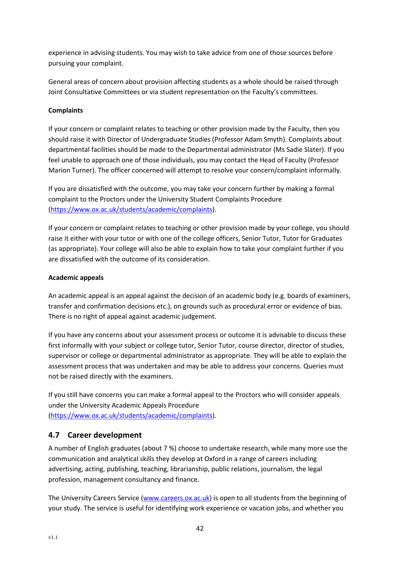experience in advising students. You may wish to take advice from one of those sources before pursuing your complaint.

General areas of concern about provision affecting students as a whole should be raised through Joint Consultative Committees or via student representation on the Faculty's committees.

#### **Complaints**

If your concern or complaint relates to teaching or other provision made by the Faculty, then you should raise it with Director of Undergraduate Studies (Professor Adam Smyth). Complaints about departmental facilities should be made to the Departmental administrator (Ms Sadie Slater). If you feel unable to approach one of those individuals, you may contact the Head of Faculty (Professor Marion Turner). The officer concerned will attempt to resolve your concern/complaint informally.

If you are dissatisfied with the outcome, you may take your concern further by making a formal complaint to the Proctors under the University Student Complaints Procedure [\(https://www.ox.ac.uk/students/academic/complaints\)](https://www.ox.ac.uk/students/academic/complaints).

If your concern or complaint relates to teaching or other provision made by your college, you should raise it either with your tutor or with one of the college officers, Senior Tutor, Tutor for Graduates (as appropriate). Your college will also be able to explain how to take your complaint further if you are dissatisfied with the outcome of its consideration.

#### **Academic appeals**

An academic appeal is an appeal against the decision of an academic body (e.g. boards of examiners, transfer and confirmation decisions etc.), on grounds such as procedural error or evidence of bias. There is no right of appeal against academic judgement.

If you have any concerns about your assessment process or outcome it is advisable to discuss these first informally with your subject or college tutor, Senior Tutor, course director, director of studies, supervisor or college or departmental administrator as appropriate. They will be able to explain the assessment process that was undertaken and may be able to address your concerns. Queries must not be raised directly with the examiners.

If you still have concerns you can make a formal appeal to the Proctors who will consider appeals under the University Academic Appeals Procedure [\(https://www.ox.ac.uk/students/academic/complaints\)](https://www.ox.ac.uk/students/academic/complaints).

# <span id="page-42-0"></span>**4.7 Career development**

A number of English graduates (about 7 %) choose to undertake research, while many more use the communication and analytical skills they develop at Oxford in a range of careers including advertising, acting, publishing, teaching, librarianship, public relations, journalism, the legal profession, management consultancy and finance.

The University Careers Service [\(www.careers.ox.ac.uk\)](http://www.careers.ox.ac.uk/) is open to all students from the beginning of your study. The service is useful for identifying work experience or vacation jobs, and whether you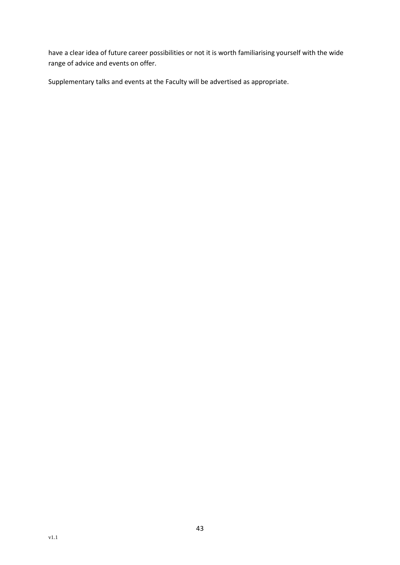have a clear idea of future career possibilities or not it is worth familiarising yourself with the wide range of advice and events on offer.

Supplementary talks and events at the Faculty will be advertised as appropriate.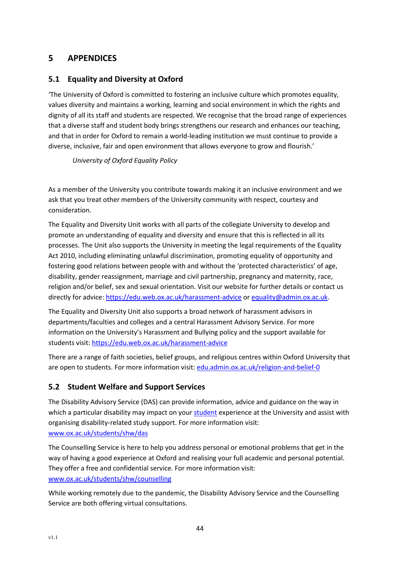# <span id="page-44-0"></span>**5 APPENDICES**

# <span id="page-44-1"></span>**5.1 Equality and Diversity at Oxford**

'The University of Oxford is committed to fostering an inclusive culture which promotes equality, values diversity and maintains a working, learning and social environment in which the rights and dignity of all its staff and students are respected. We recognise that the broad range of experiences that a diverse staff and student body brings strengthens our research and enhances our teaching, and that in order for Oxford to remain a world-leading institution we must continue to provide a diverse, inclusive, fair and open environment that allows everyone to grow and flourish.'

*University of Oxford Equality Policy* 

As a member of the University you contribute towards making it an inclusive environment and we ask that you treat other members of the University community with respect, courtesy and consideration.

The Equality and Diversity Unit works with all parts of the collegiate University to develop and promote an understanding of equality and diversity and ensure that this is reflected in all its processes. The Unit also supports the University in meeting the legal requirements of the Equality Act 2010, including eliminating unlawful discrimination, promoting equality of opportunity and fostering good relations between people with and without the 'protected characteristics' of age, disability, gender reassignment, marriage and civil partnership, pregnancy and maternity, race, religion and/or belief, sex and sexual orientation. Visit our website for further details or contact us directly for advice[: https://edu.web.ox.ac.uk/harassment-advice](https://edu.web.ox.ac.uk/harassment-advice) or [equality@admin.ox.ac.uk.](mailto:equality@admin.ox.ac.uk)

The Equality and Diversity Unit also supports a broad network of harassment advisors in departments/faculties and colleges and a central Harassment Advisory Service. For more information on the University's Harassment and Bullying policy and the support available for students visit[: https://edu.web.ox.ac.uk/harassment-advice](https://edu.web.ox.ac.uk/harassment-advice)

There are a range of faith societies, belief groups, and religious centres within Oxford University that are open to students. For more information visit: [edu.admin.ox.ac.uk/religion-and-belief-0](https://edu.admin.ox.ac.uk/religion-and-belief-0) 

# <span id="page-44-2"></span>**5.2 Student Welfare and Support Services**

The Disability Advisory Service (DAS) can provide information, advice and guidance on the way in which a particular disability may impact on you[r student](https://www.ox.ac.uk/students/shw/das) experience at the University and assist with organising disability-related study support. For more information visit: [www.ox.ac.uk/students/shw/das](https://www.ox.ac.uk/students/shw/das)

The Counselling Service is here to help you address personal or emotional problems that get in the way of having a good experience at Oxford and realising your full academic and personal potential. They offer a free and confidential service. For more information visit: [www.ox.ac.uk/students/shw/counselling](https://www.ox.ac.uk/students/shw/counselling)

While working remotely due to the pandemic, the Disability Advisory Service and the Counselling Service are both offering virtual consultations.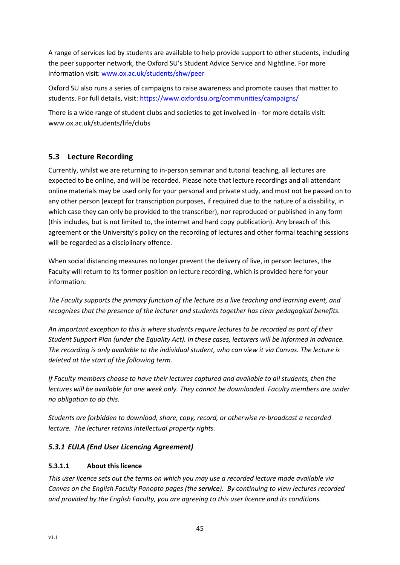A range of services led by students are available to help provide support to other students, including the peer supporter network, the Oxford SU's Student Advice Service and Nightline. For more information visit: [www.ox.ac.uk/students/shw/peer](https://www.ox.ac.uk/students/shw/peer)

Oxford SU also runs a series of campaigns to raise awareness and promote causes that matter to students. For full details, visit:<https://www.oxfordsu.org/communities/campaigns/>

There is a wide range of student clubs and societies to get involved in - for more details visit: www.ox.ac.uk/students/life/clubs

# <span id="page-45-0"></span>**5.3 Lecture Recording**

Currently, whilst we are returning to in-person seminar and tutorial teaching, all lectures are expected to be online, and will be recorded. Please note that lecture recordings and all attendant online materials may be used only for your personal and private study, and must not be passed on to any other person (except for transcription purposes, if required due to the nature of a disability, in which case they can only be provided to the transcriber), nor reproduced or published in any form (this includes, but is not limited to, the internet and hard copy publication). Any breach of this agreement or the University's policy on the recording of lectures and other formal teaching sessions will be regarded as a disciplinary offence.

When social distancing measures no longer prevent the delivery of live, in person lectures, the Faculty will return to its former position on lecture recording, which is provided here for your information:

*The Faculty supports the primary function of the lecture as a live teaching and learning event, and recognizes that the presence of the lecturer and students together has clear pedagogical benefits.* 

*An important exception to this is where students require lectures to be recorded as part of their Student Support Plan (under the Equality Act). In these cases, lecturers will be informed in advance. The recording is only available to the individual student, who can view it via Canvas. The lecture is deleted at the start of the following term.* 

*If Faculty members choose to have their lectures captured and available to all students, then the lectures will be available for one week only. They cannot be downloaded. Faculty members are under no obligation to do this.* 

*Students are forbidden to download, share, copy, record, or otherwise re-broadcast a recorded lecture. The lecturer retains intellectual property rights.*

# <span id="page-45-1"></span>*5.3.1 EULA (End User Licencing Agreement)*

# **5.3.1.1 About this licence**

*This user licence sets out the terms on which you may use a recorded lecture made available via Canvas on the English Faculty Panopto pages (the service). By continuing to view lectures recorded and provided by the English Faculty, you are agreeing to this user licence and its conditions.*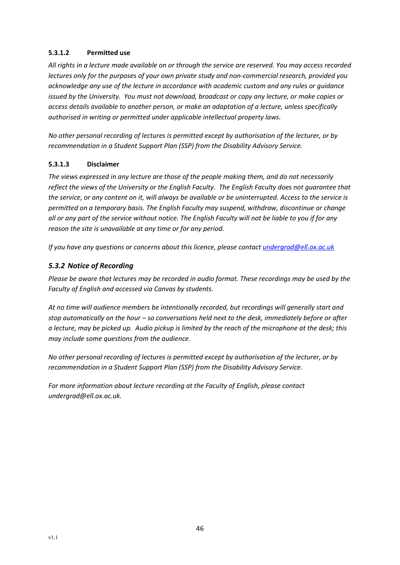#### **5.3.1.2 Permitted use**

*All rights in a lecture made available on or through the service are reserved. You may access recorded lectures only for the purposes of your own private study and non-commercial research, provided you acknowledge any use of the lecture in accordance with academic custom and any rules or guidance issued by the University. You must not download, broadcast or copy any lecture, or make copies or access details available to another person, or make an adaptation of a lecture, unless specifically authorised in writing or permitted under applicable intellectual property laws.* 

*No other personal recording of lectures is permitted except by authorisation of the lecturer, or by recommendation in a Student Support Plan (SSP) from the Disability Advisory Service.*

#### **5.3.1.3 Disclaimer**

*The views expressed in any lecture are those of the people making them, and do not necessarily reflect the views of the University or the English Faculty. The English Faculty does not guarantee that the service, or any content on it, will always be available or be uninterrupted. Access to the service is permitted on a temporary basis. The English Faculty may suspend, withdraw, discontinue or change all or any part of the service without notice. The English Faculty will not be liable to you if for any reason the site is unavailable at any time or for any period.*

*If you have any questions or concerns about this licence, please contact [undergrad@ell.ox.ac.uk](mailto:undergrad@ell.ox.ac.uk)*

# <span id="page-46-0"></span>*5.3.2 Notice of Recording*

*Please be aware that lectures may be recorded in audio format. These recordings may be used by the Faculty of English and accessed via Canvas by students.*

*At no time will audience members be intentionally recorded, but recordings will generally start and stop automatically on the hour – so conversations held next to the desk, immediately before or after a lecture, may be picked up. Audio pickup is limited by the reach of the microphone at the desk; this may include some questions from the audience.*

*No other personal recording of lectures is permitted except by authorisation of the lecturer, or by recommendation in a Student Support Plan (SSP) from the Disability Advisory Service.*

*For more information about lecture recording at the Faculty of English, please contact undergrad@ell.ox.ac.uk.*